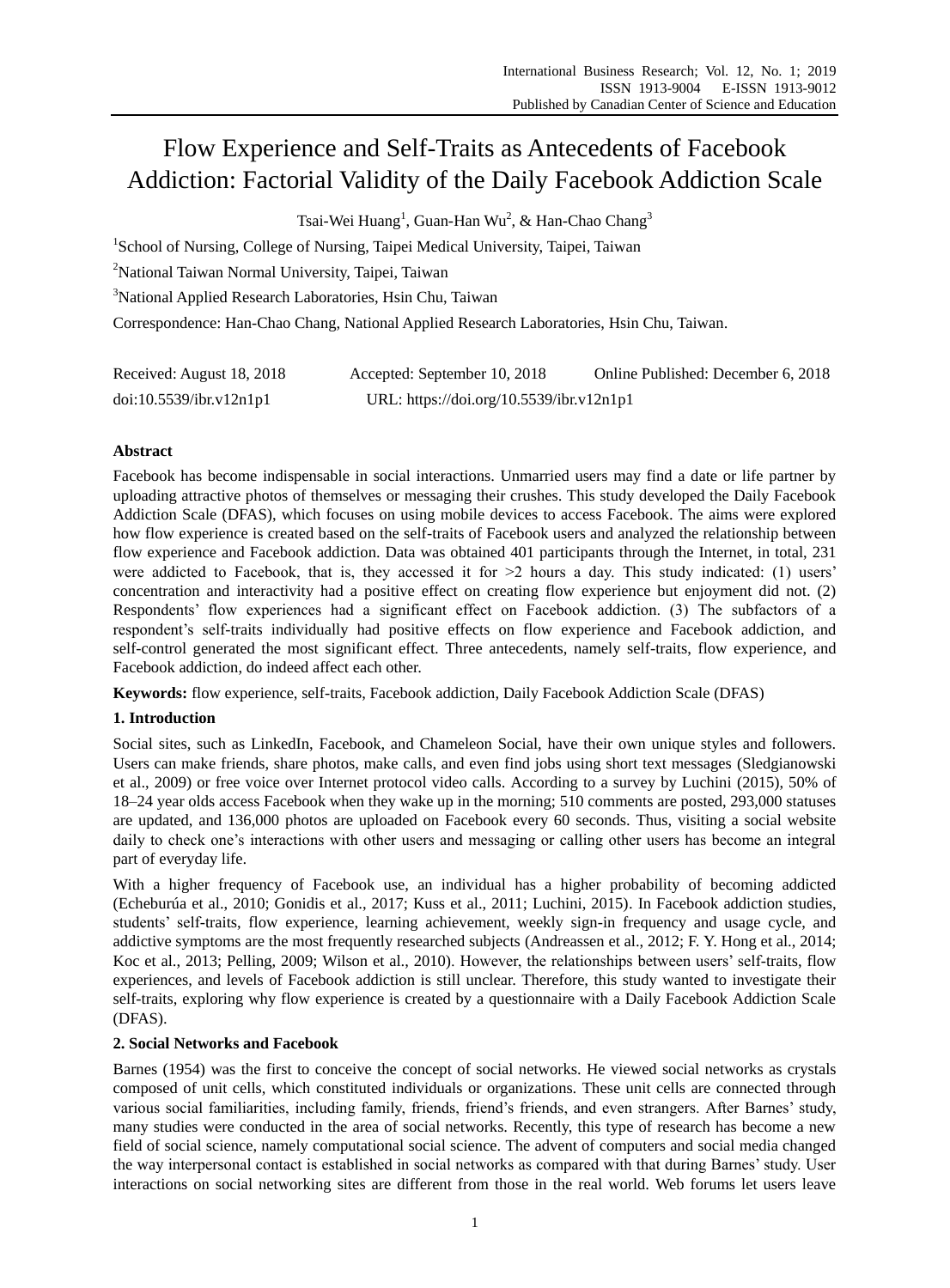# Flow Experience and Self-Traits as Antecedents of Facebook Addiction: Factorial Validity of the Daily Facebook Addiction Scale

Tsai-Wei Huang<sup>1</sup>, Guan-Han Wu<sup>2</sup>, & Han-Chao Chang<sup>3</sup>

<sup>1</sup>School of Nursing, College of Nursing, Taipei Medical University, Taipei, Taiwan

<sup>2</sup>National Taiwan Normal University, Taipei, Taiwan

<sup>3</sup>National Applied Research Laboratories, Hsin Chu, Taiwan

Correspondence: Han-Chao Chang, National Applied Research Laboratories, Hsin Chu, Taiwan.

| Received: August 18, 2018 | Accepted: September 10, 2018             | Online Published: December 6, 2018 |
|---------------------------|------------------------------------------|------------------------------------|
| doi:10.5539/ibr.v12n1p1   | URL: https://doi.org/10.5539/ibr.v12n1p1 |                                    |

## **Abstract**

Facebook has become indispensable in social interactions. Unmarried users may find a date or life partner by uploading attractive photos of themselves or messaging their crushes. This study developed the Daily Facebook Addiction Scale (DFAS), which focuses on using mobile devices to access Facebook. The aims were explored how flow experience is created based on the self-traits of Facebook users and analyzed the relationship between flow experience and Facebook addiction. Data was obtained 401 participants through the Internet, in total, 231 were addicted to Facebook, that is, they accessed it for  $>2$  hours a day. This study indicated: (1) users' concentration and interactivity had a positive effect on creating flow experience but enjoyment did not. (2) Respondents' flow experiences had a significant effect on Facebook addiction. (3) The subfactors of a respondent's self-traits individually had positive effects on flow experience and Facebook addiction, and self-control generated the most significant effect. Three antecedents, namely self-traits, flow experience, and Facebook addiction, do indeed affect each other.

**Keywords:** flow experience, self-traits, Facebook addiction, Daily Facebook Addiction Scale (DFAS)

## **1. Introduction**

Social sites, such as LinkedIn, Facebook, and Chameleon Social, have their own unique styles and followers. Users can make friends, share photos, make calls, and even find jobs using short text messages (Sledgianowski et al., 2009) or free voice over Internet protocol video calls. According to a survey by Luchini (2015), 50% of 18–24 year olds access Facebook when they wake up in the morning; 510 comments are posted, 293,000 statuses are updated, and 136,000 photos are uploaded on Facebook every 60 seconds. Thus, visiting a social website daily to check one's interactions with other users and messaging or calling other users has become an integral part of everyday life.

With a higher frequency of Facebook use, an individual has a higher probability of becoming addicted (Echeburúa et al., 2010; Gonidis et al., 2017; Kuss et al., 2011; Luchini, 2015). In Facebook addiction studies, students' self-traits, flow experience, learning achievement, weekly sign-in frequency and usage cycle, and addictive symptoms are the most frequently researched subjects (Andreassen et al., 2012; F. Y. Hong et al., 2014; Koc et al., 2013; Pelling, 2009; Wilson et al., 2010). However, the relationships between users' self-traits, flow experiences, and levels of Facebook addiction is still unclear. Therefore, this study wanted to investigate their self-traits, exploring why flow experience is created by a questionnaire with a Daily Facebook Addiction Scale (DFAS).

## **2. Social Networks and Facebook**

Barnes (1954) was the first to conceive the concept of social networks. He viewed social networks as crystals composed of unit cells, which constituted individuals or organizations. These unit cells are connected through various social familiarities, including family, friends, friend's friends, and even strangers. After Barnes' study, many studies were conducted in the area of social networks. Recently, this type of research has become a new field of social science, namely computational social science. The advent of computers and social media changed the way interpersonal contact is established in social networks as compared with that during Barnes' study. User interactions on social networking sites are different from those in the real world. Web forums let users leave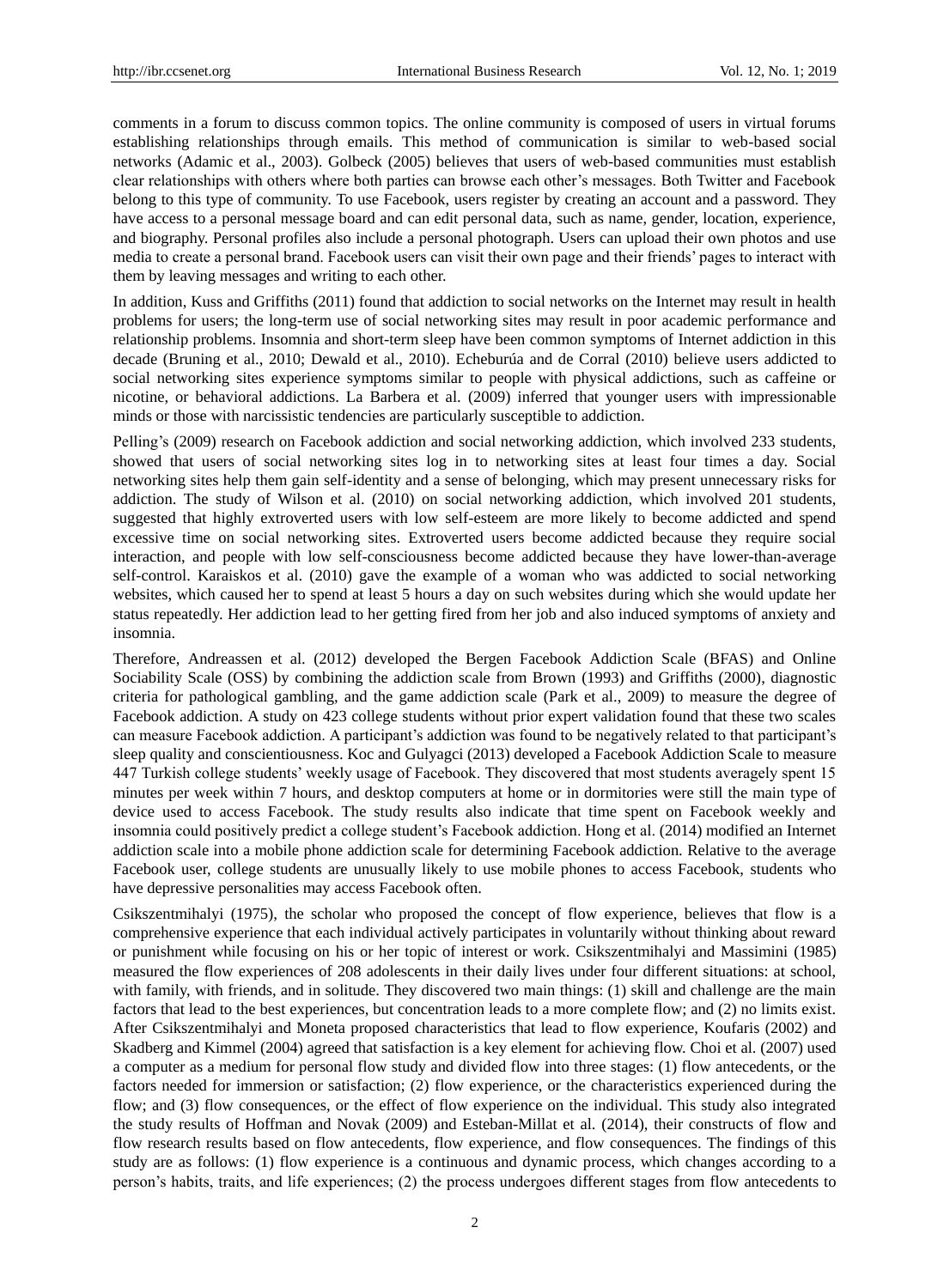comments in a forum to discuss common topics. The online community is composed of users in virtual forums establishing relationships through emails. This method of communication is similar to web-based social networks (Adamic et al., 2003). Golbeck (2005) believes that users of web-based communities must establish clear relationships with others where both parties can browse each other's messages. Both Twitter and Facebook belong to this type of community. To use Facebook, users register by creating an account and a password. They have access to a personal message board and can edit personal data, such as name, gender, location, experience, and biography. Personal profiles also include a personal photograph. Users can upload their own photos and use media to create a personal brand. Facebook users can visit their own page and their friends' pages to interact with them by leaving messages and writing to each other.

In addition, Kuss and Griffiths (2011) found that addiction to social networks on the Internet may result in health problems for users; the long-term use of social networking sites may result in poor academic performance and relationship problems. Insomnia and short-term sleep have been common symptoms of Internet addiction in this decade (Bruning et al., 2010; Dewald et al., 2010). Echeburúa and de Corral (2010) believe users addicted to social networking sites experience symptoms similar to people with physical addictions, such as caffeine or nicotine, or behavioral addictions. La Barbera et al. (2009) inferred that younger users with impressionable minds or those with narcissistic tendencies are particularly susceptible to addiction.

Pelling's (2009) research on Facebook addiction and social networking addiction, which involved 233 students, showed that users of social networking sites log in to networking sites at least four times a day. Social networking sites help them gain self-identity and a sense of belonging, which may present unnecessary risks for addiction. The study of Wilson et al. (2010) on social networking addiction, which involved 201 students, suggested that highly extroverted users with low self-esteem are more likely to become addicted and spend excessive time on social networking sites. Extroverted users become addicted because they require social interaction, and people with low self-consciousness become addicted because they have lower-than-average self-control. Karaiskos et al. (2010) gave the example of a woman who was addicted to social networking websites, which caused her to spend at least 5 hours a day on such websites during which she would update her status repeatedly. Her addiction lead to her getting fired from her job and also induced symptoms of anxiety and insomnia.

Therefore, Andreassen et al. (2012) developed the Bergen Facebook Addiction Scale (BFAS) and Online Sociability Scale (OSS) by combining the addiction scale from Brown (1993) and Griffiths (2000), diagnostic criteria for pathological gambling, and the game addiction scale (Park et al., 2009) to measure the degree of Facebook addiction. A study on 423 college students without prior expert validation found that these two scales can measure Facebook addiction. A participant's addiction was found to be negatively related to that participant's sleep quality and conscientiousness. Koc and Gulyagci (2013) developed a Facebook Addiction Scale to measure 447 Turkish college students' weekly usage of Facebook. They discovered that most students averagely spent 15 minutes per week within 7 hours, and desktop computers at home or in dormitories were still the main type of device used to access Facebook. The study results also indicate that time spent on Facebook weekly and insomnia could positively predict a college student's Facebook addiction. Hong et al. (2014) modified an Internet addiction scale into a mobile phone addiction scale for determining Facebook addiction. Relative to the average Facebook user, college students are unusually likely to use mobile phones to access Facebook, students who have depressive personalities may access Facebook often.

Csikszentmihalyi (1975), the scholar who proposed the concept of flow experience, believes that flow is a comprehensive experience that each individual actively participates in voluntarily without thinking about reward or punishment while focusing on his or her topic of interest or work. Csikszentmihalyi and Massimini (1985) measured the flow experiences of 208 adolescents in their daily lives under four different situations: at school, with family, with friends, and in solitude. They discovered two main things: (1) skill and challenge are the main factors that lead to the best experiences, but concentration leads to a more complete flow; and (2) no limits exist. After Csikszentmihalyi and Moneta proposed characteristics that lead to flow experience, Koufaris (2002) and Skadberg and Kimmel (2004) agreed that satisfaction is a key element for achieving flow. Choi et al. (2007) used a computer as a medium for personal flow study and divided flow into three stages: (1) flow antecedents, or the factors needed for immersion or satisfaction; (2) flow experience, or the characteristics experienced during the flow; and (3) flow consequences, or the effect of flow experience on the individual. This study also integrated the study results of Hoffman and Novak (2009) and Esteban-Millat et al. (2014), their constructs of flow and flow research results based on flow antecedents, flow experience, and flow consequences. The findings of this study are as follows: (1) flow experience is a continuous and dynamic process, which changes according to a person's habits, traits, and life experiences; (2) the process undergoes different stages from flow antecedents to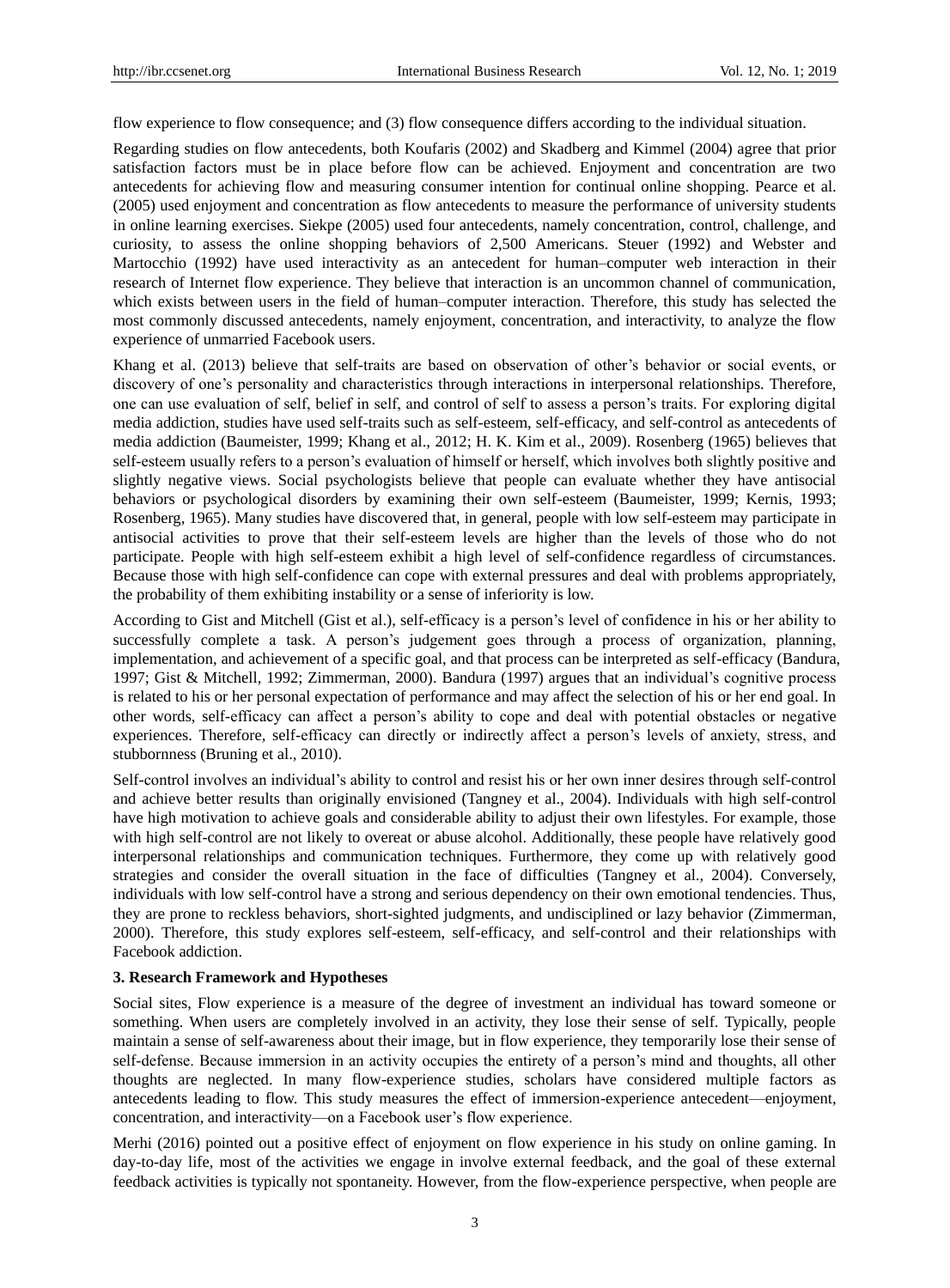flow experience to flow consequence; and (3) flow consequence differs according to the individual situation.

Regarding studies on flow antecedents, both Koufaris (2002) and Skadberg and Kimmel (2004) agree that prior satisfaction factors must be in place before flow can be achieved. Enjoyment and concentration are two antecedents for achieving flow and measuring consumer intention for continual online shopping. Pearce et al. (2005) used enjoyment and concentration as flow antecedents to measure the performance of university students in online learning exercises. Siekpe (2005) used four antecedents, namely concentration, control, challenge, and curiosity, to assess the online shopping behaviors of 2,500 Americans. Steuer (1992) and Webster and Martocchio (1992) have used interactivity as an antecedent for human–computer web interaction in their research of Internet flow experience. They believe that interaction is an uncommon channel of communication, which exists between users in the field of human–computer interaction. Therefore, this study has selected the most commonly discussed antecedents, namely enjoyment, concentration, and interactivity, to analyze the flow experience of unmarried Facebook users.

Khang et al. (2013) believe that self-traits are based on observation of other's behavior or social events, or discovery of one's personality and characteristics through interactions in interpersonal relationships. Therefore, one can use evaluation of self, belief in self, and control of self to assess a person's traits. For exploring digital media addiction, studies have used self-traits such as self-esteem, self-efficacy, and self-control as antecedents of media addiction (Baumeister, 1999; Khang et al., 2012; H. K. Kim et al., 2009). Rosenberg (1965) believes that self-esteem usually refers to a person's evaluation of himself or herself, which involves both slightly positive and slightly negative views. Social psychologists believe that people can evaluate whether they have antisocial behaviors or psychological disorders by examining their own self-esteem (Baumeister, 1999; Kernis, 1993; Rosenberg, 1965). Many studies have discovered that, in general, people with low self-esteem may participate in antisocial activities to prove that their self-esteem levels are higher than the levels of those who do not participate. People with high self-esteem exhibit a high level of self-confidence regardless of circumstances. Because those with high self-confidence can cope with external pressures and deal with problems appropriately, the probability of them exhibiting instability or a sense of inferiority is low.

According to Gist and Mitchell (Gist et al.), self-efficacy is a person's level of confidence in his or her ability to successfully complete a task. A person's judgement goes through a process of organization, planning, implementation, and achievement of a specific goal, and that process can be interpreted as self-efficacy (Bandura, 1997; Gist & Mitchell, 1992; Zimmerman, 2000). Bandura (1997) argues that an individual's cognitive process is related to his or her personal expectation of performance and may affect the selection of his or her end goal. In other words, self-efficacy can affect a person's ability to cope and deal with potential obstacles or negative experiences. Therefore, self-efficacy can directly or indirectly affect a person's levels of anxiety, stress, and stubbornness (Bruning et al., 2010).

Self-control involves an individual's ability to control and resist his or her own inner desires through self-control and achieve better results than originally envisioned (Tangney et al., 2004). Individuals with high self-control have high motivation to achieve goals and considerable ability to adjust their own lifestyles. For example, those with high self-control are not likely to overeat or abuse alcohol. Additionally, these people have relatively good interpersonal relationships and communication techniques. Furthermore, they come up with relatively good strategies and consider the overall situation in the face of difficulties (Tangney et al., 2004). Conversely, individuals with low self-control have a strong and serious dependency on their own emotional tendencies. Thus, they are prone to reckless behaviors, short-sighted judgments, and undisciplined or lazy behavior (Zimmerman, 2000). Therefore, this study explores self-esteem, self-efficacy, and self-control and their relationships with Facebook addiction.

## **3. Research Framework and Hypotheses**

Social sites, Flow experience is a measure of the degree of investment an individual has toward someone or something. When users are completely involved in an activity, they lose their sense of self. Typically, people maintain a sense of self-awareness about their image, but in flow experience, they temporarily lose their sense of self-defense. Because immersion in an activity occupies the entirety of a person's mind and thoughts, all other thoughts are neglected. In many flow-experience studies, scholars have considered multiple factors as antecedents leading to flow. This study measures the effect of immersion-experience antecedent—enjoyment, concentration, and interactivity—on a Facebook user's flow experience.

Merhi (2016) pointed out a positive effect of enjoyment on flow experience in his study on online gaming. In day-to-day life, most of the activities we engage in involve external feedback, and the goal of these external feedback activities is typically not spontaneity. However, from the flow-experience perspective, when people are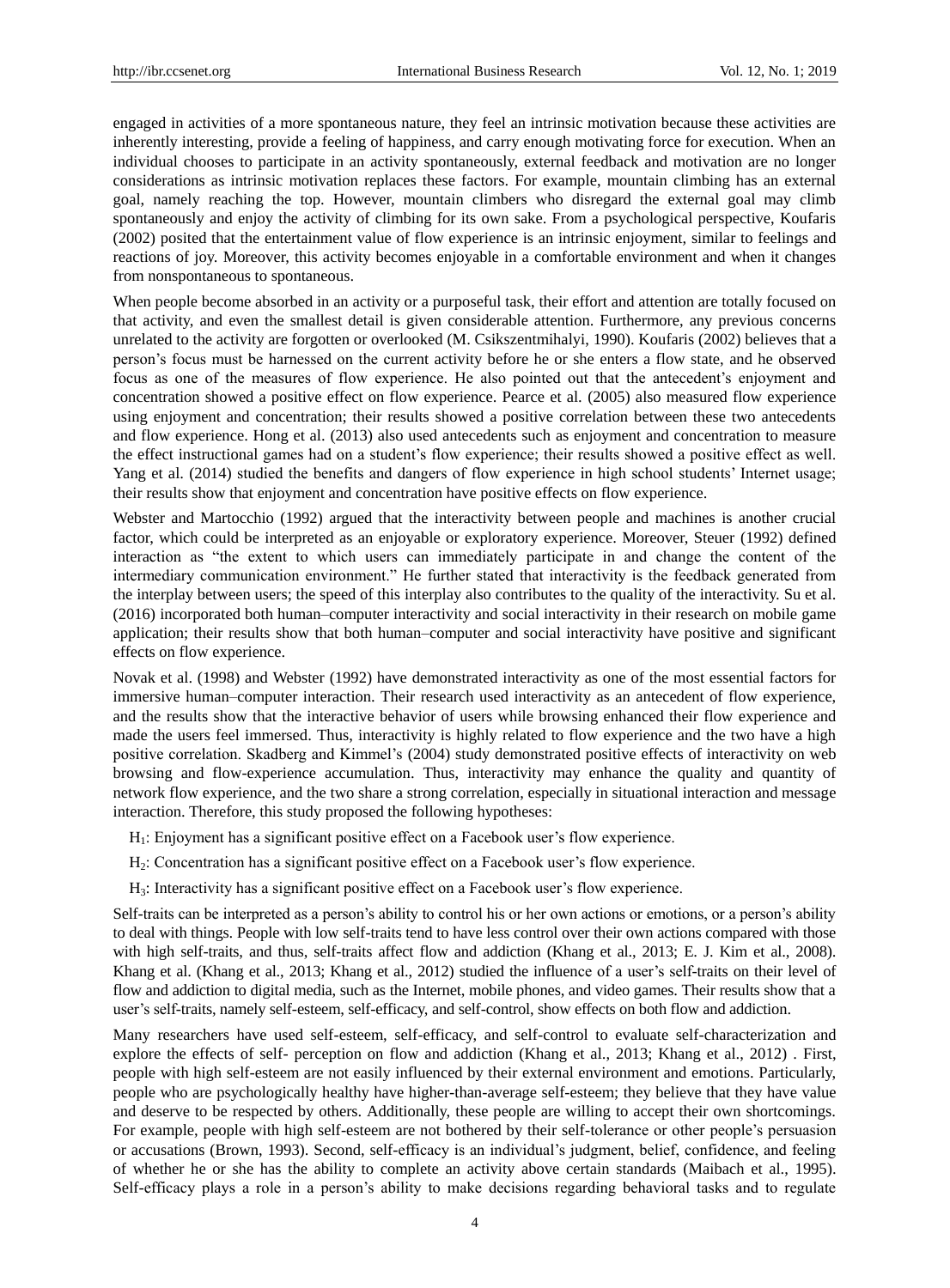engaged in activities of a more spontaneous nature, they feel an intrinsic motivation because these activities are inherently interesting, provide a feeling of happiness, and carry enough motivating force for execution. When an individual chooses to participate in an activity spontaneously, external feedback and motivation are no longer considerations as intrinsic motivation replaces these factors. For example, mountain climbing has an external goal, namely reaching the top. However, mountain climbers who disregard the external goal may climb spontaneously and enjoy the activity of climbing for its own sake. From a psychological perspective, Koufaris (2002) posited that the entertainment value of flow experience is an intrinsic enjoyment, similar to feelings and reactions of joy. Moreover, this activity becomes enjoyable in a comfortable environment and when it changes from nonspontaneous to spontaneous.

When people become absorbed in an activity or a purposeful task, their effort and attention are totally focused on that activity, and even the smallest detail is given considerable attention. Furthermore, any previous concerns unrelated to the activity are forgotten or overlooked (M. Csikszentmihalyi, 1990). Koufaris (2002) believes that a person's focus must be harnessed on the current activity before he or she enters a flow state, and he observed focus as one of the measures of flow experience. He also pointed out that the antecedent's enjoyment and concentration showed a positive effect on flow experience. Pearce et al. (2005) also measured flow experience using enjoyment and concentration; their results showed a positive correlation between these two antecedents and flow experience. Hong et al. (2013) also used antecedents such as enjoyment and concentration to measure the effect instructional games had on a student's flow experience; their results showed a positive effect as well. Yang et al. (2014) studied the benefits and dangers of flow experience in high school students' Internet usage; their results show that enjoyment and concentration have positive effects on flow experience.

Webster and Martocchio (1992) argued that the interactivity between people and machines is another crucial factor, which could be interpreted as an enjoyable or exploratory experience. Moreover, Steuer (1992) defined interaction as "the extent to which users can immediately participate in and change the content of the intermediary communication environment." He further stated that interactivity is the feedback generated from the interplay between users; the speed of this interplay also contributes to the quality of the interactivity. Su et al. (2016) incorporated both human–computer interactivity and social interactivity in their research on mobile game application; their results show that both human–computer and social interactivity have positive and significant effects on flow experience.

Novak et al. (1998) and Webster (1992) have demonstrated interactivity as one of the most essential factors for immersive human–computer interaction. Their research used interactivity as an antecedent of flow experience, and the results show that the interactive behavior of users while browsing enhanced their flow experience and made the users feel immersed. Thus, interactivity is highly related to flow experience and the two have a high positive correlation. Skadberg and Kimmel's (2004) study demonstrated positive effects of interactivity on web browsing and flow-experience accumulation. Thus, interactivity may enhance the quality and quantity of network flow experience, and the two share a strong correlation, especially in situational interaction and message interaction. Therefore, this study proposed the following hypotheses:

- H1: Enjoyment has a significant positive effect on a Facebook user's flow experience.
- H2: Concentration has a significant positive effect on a Facebook user's flow experience.
- H3: Interactivity has a significant positive effect on a Facebook user's flow experience.

Self-traits can be interpreted as a person's ability to control his or her own actions or emotions, or a person's ability to deal with things. People with low self-traits tend to have less control over their own actions compared with those with high self-traits, and thus, self-traits affect flow and addiction (Khang et al., 2013; E. J. Kim et al., 2008). Khang et al. (Khang et al., 2013; Khang et al., 2012) studied the influence of a user's self-traits on their level of flow and addiction to digital media, such as the Internet, mobile phones, and video games. Their results show that a user's self-traits, namely self-esteem, self-efficacy, and self-control, show effects on both flow and addiction.

Many researchers have used self-esteem, self-efficacy, and self-control to evaluate self-characterization and explore the effects of self- perception on flow and addiction (Khang et al., 2013; Khang et al., 2012) . First, people with high self-esteem are not easily influenced by their external environment and emotions. Particularly, people who are psychologically healthy have higher-than-average self-esteem; they believe that they have value and deserve to be respected by others. Additionally, these people are willing to accept their own shortcomings. For example, people with high self-esteem are not bothered by their self-tolerance or other people's persuasion or accusations (Brown, 1993). Second, self-efficacy is an individual's judgment, belief, confidence, and feeling of whether he or she has the ability to complete an activity above certain standards (Maibach et al., 1995). Self-efficacy plays a role in a person's ability to make decisions regarding behavioral tasks and to regulate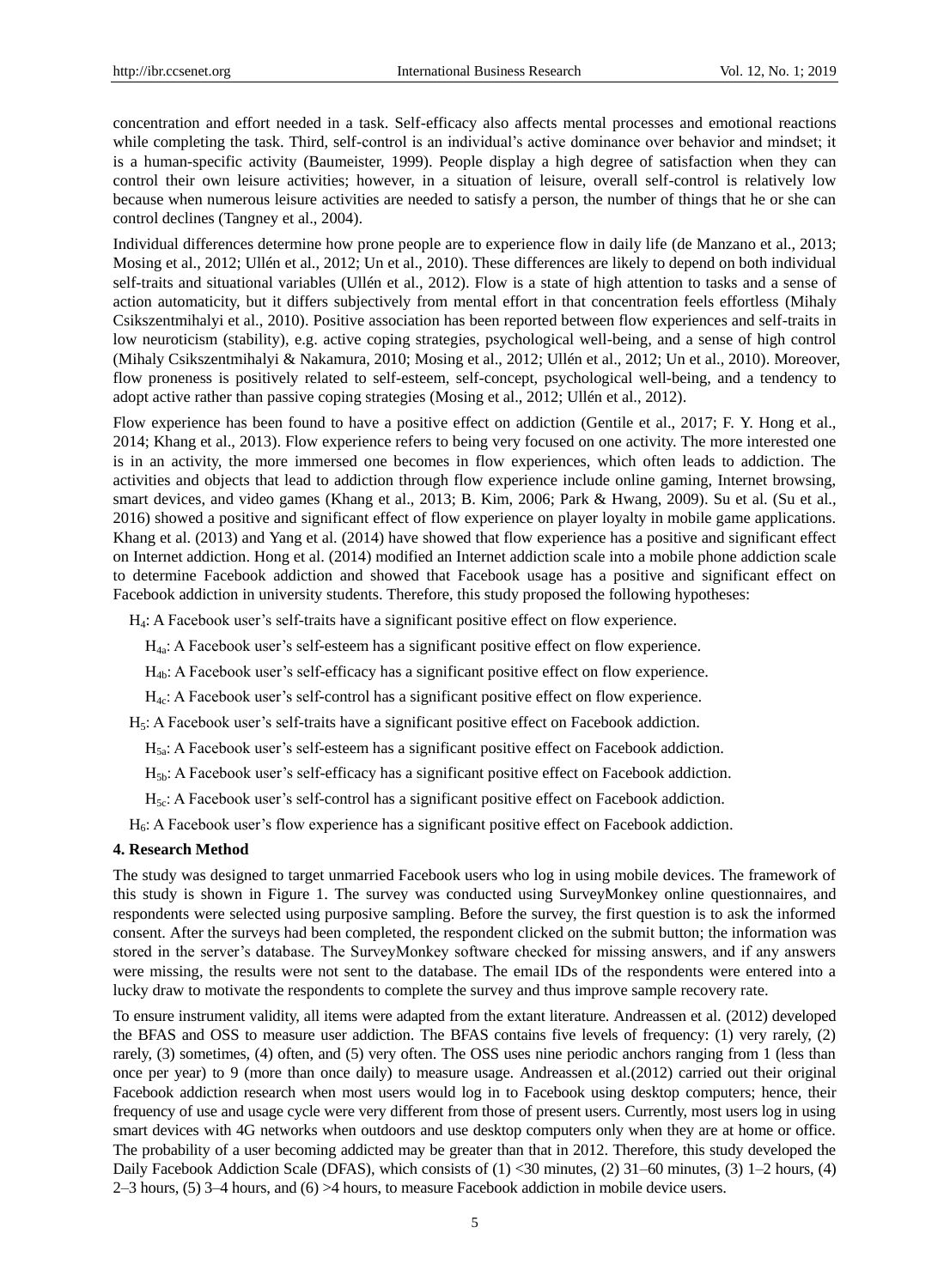concentration and effort needed in a task. Self-efficacy also affects mental processes and emotional reactions while completing the task. Third, self-control is an individual's active dominance over behavior and mindset; it is a human-specific activity (Baumeister, 1999). People display a high degree of satisfaction when they can control their own leisure activities; however, in a situation of leisure, overall self-control is relatively low because when numerous leisure activities are needed to satisfy a person, the number of things that he or she can control declines (Tangney et al., 2004).

Individual differences determine how prone people are to experience flow in daily life (de Manzano et al., 2013; Mosing et al., 2012; Ullén et al., 2012; Un et al., 2010). These differences are likely to depend on both individual self-traits and situational variables (Ullén et al., 2012). Flow is a state of high attention to tasks and a sense of action automaticity, but it differs subjectively from mental effort in that concentration feels effortless (Mihaly Csikszentmihalyi et al., 2010). Positive association has been reported between flow experiences and self-traits in low neuroticism (stability), e.g. active coping strategies, psychological well-being, and a sense of high control (Mihaly Csikszentmihalyi & Nakamura, 2010; Mosing et al., 2012; Ullén et al., 2012; Un et al., 2010). Moreover, flow proneness is positively related to self-esteem, self-concept, psychological well-being, and a tendency to adopt active rather than passive coping strategies (Mosing et al., 2012; Ullén et al., 2012).

Flow experience has been found to have a positive effect on addiction (Gentile et al., 2017; F. Y. Hong et al., 2014; Khang et al., 2013). Flow experience refers to being very focused on one activity. The more interested one is in an activity, the more immersed one becomes in flow experiences, which often leads to addiction. The activities and objects that lead to addiction through flow experience include online gaming, Internet browsing, smart devices, and video games (Khang et al., 2013; B. Kim, 2006; Park & Hwang, 2009). Su et al. (Su et al., 2016) showed a positive and significant effect of flow experience on player loyalty in mobile game applications. Khang et al. (2013) and Yang et al. (2014) have showed that flow experience has a positive and significant effect on Internet addiction. Hong et al. (2014) modified an Internet addiction scale into a mobile phone addiction scale to determine Facebook addiction and showed that Facebook usage has a positive and significant effect on Facebook addiction in university students. Therefore, this study proposed the following hypotheses:

H4: A Facebook user's self-traits have a significant positive effect on flow experience.

H4a: A Facebook user's self-esteem has a significant positive effect on flow experience.

H4b: A Facebook user's self-efficacy has a significant positive effect on flow experience.

 $H_{4c}$ : A Facebook user's self-control has a significant positive effect on flow experience.

H5: A Facebook user's self-traits have a significant positive effect on Facebook addiction.

H5a: A Facebook user's self-esteem has a significant positive effect on Facebook addiction.

H5b: A Facebook user's self-efficacy has a significant positive effect on Facebook addiction.

H5c: A Facebook user's self-control has a significant positive effect on Facebook addiction.

H6: A Facebook user's flow experience has a significant positive effect on Facebook addiction.

#### **4. Research Method**

The study was designed to target unmarried Facebook users who log in using mobile devices. The framework of this study is shown in Figure 1. The survey was conducted using SurveyMonkey online questionnaires, and respondents were selected using purposive sampling. Before the survey, the first question is to ask the informed consent. After the surveys had been completed, the respondent clicked on the submit button; the information was stored in the server's database. The SurveyMonkey software checked for missing answers, and if any answers were missing, the results were not sent to the database. The email IDs of the respondents were entered into a lucky draw to motivate the respondents to complete the survey and thus improve sample recovery rate.

To ensure instrument validity, all items were adapted from the extant literature. Andreassen et al. (2012) developed the BFAS and OSS to measure user addiction. The BFAS contains five levels of frequency: (1) very rarely, (2) rarely, (3) sometimes, (4) often, and (5) very often. The OSS uses nine periodic anchors ranging from 1 (less than once per year) to 9 (more than once daily) to measure usage. Andreassen et al.(2012) carried out their original Facebook addiction research when most users would log in to Facebook using desktop computers; hence, their frequency of use and usage cycle were very different from those of present users. Currently, most users log in using smart devices with 4G networks when outdoors and use desktop computers only when they are at home or office. The probability of a user becoming addicted may be greater than that in 2012. Therefore, this study developed the Daily Facebook Addiction Scale (DFAS), which consists of  $(1)$  <30 minutes,  $(2)$  31–60 minutes,  $(3)$  1–2 hours,  $(4)$ 2–3 hours, (5) 3–4 hours, and (6) >4 hours, to measure Facebook addiction in mobile device users.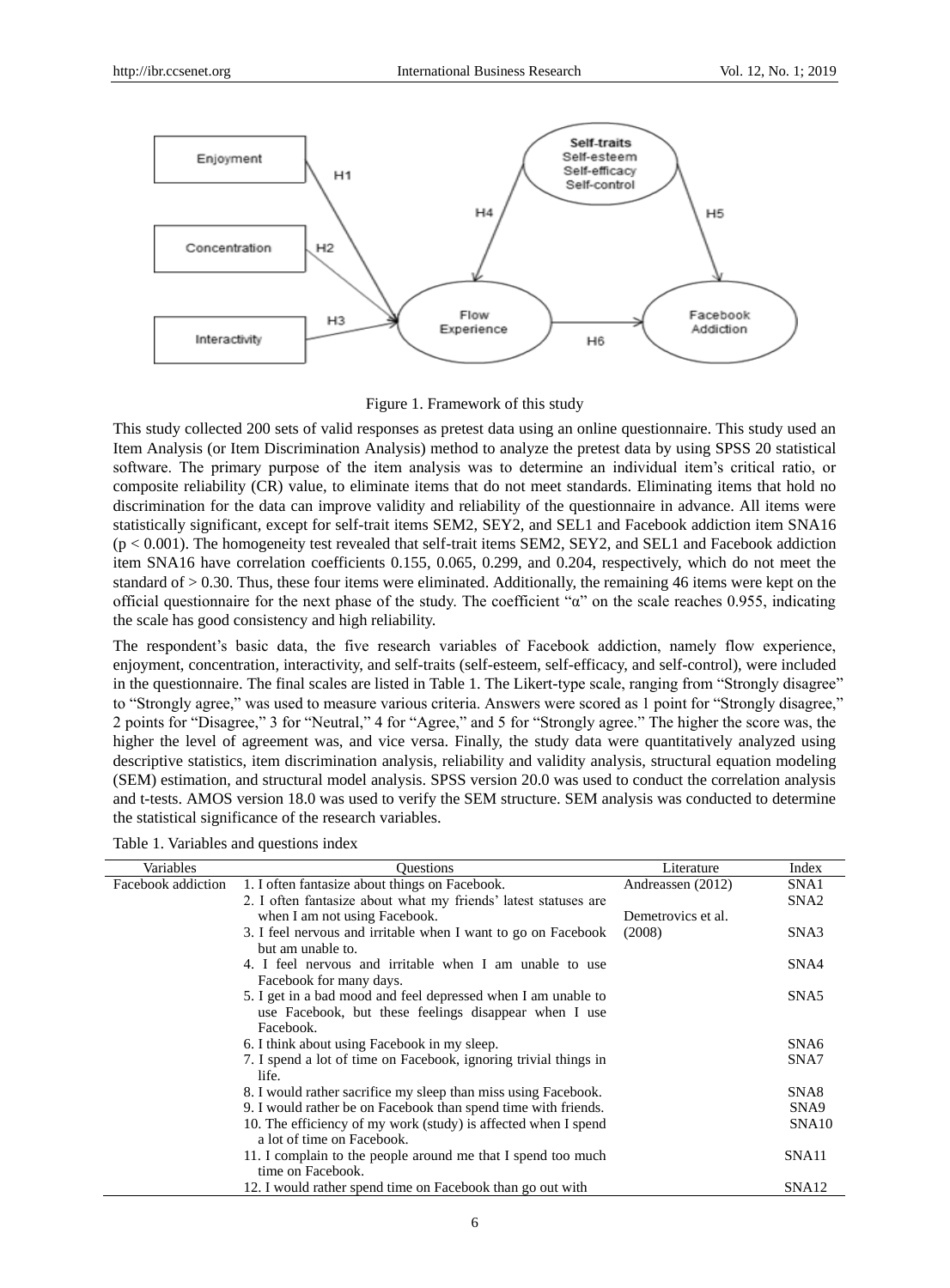

Figure 1. Framework of this study

This study collected 200 sets of valid responses as pretest data using an online questionnaire. This study used an Item Analysis (or Item Discrimination Analysis) method to analyze the pretest data by using SPSS 20 statistical software. The primary purpose of the item analysis was to determine an individual item's critical ratio, or composite reliability (CR) value, to eliminate items that do not meet standards. Eliminating items that hold no discrimination for the data can improve validity and reliability of the questionnaire in advance. All items were statistically significant, except for self-trait items SEM2, SEY2, and SEL1 and Facebook addiction item SNA16  $(p < 0.001)$ . The homogeneity test revealed that self-trait items SEM2, SEY2, and SEL1 and Facebook addiction item SNA16 have correlation coefficients 0.155, 0.065, 0.299, and 0.204, respectively, which do not meet the standard of > 0.30. Thus, these four items were eliminated. Additionally, the remaining 46 items were kept on the official questionnaire for the next phase of the study. The coefficient " $\alpha$ " on the scale reaches 0.955, indicating the scale has good consistency and high reliability.

The respondent's basic data, the five research variables of Facebook addiction, namely flow experience, enjoyment, concentration, interactivity, and self-traits (self-esteem, self-efficacy, and self-control), were included in the questionnaire. The final scales are listed in Table 1. The Likert-type scale, ranging from "Strongly disagree" to "Strongly agree," was used to measure various criteria. Answers were scored as 1 point for "Strongly disagree," 2 points for "Disagree," 3 for "Neutral," 4 for "Agree," and 5 for "Strongly agree." The higher the score was, the higher the level of agreement was, and vice versa. Finally, the study data were quantitatively analyzed using descriptive statistics, item discrimination analysis, reliability and validity analysis, structural equation modeling (SEM) estimation, and structural model analysis. SPSS version 20.0 was used to conduct the correlation analysis and t-tests. AMOS version 18.0 was used to verify the SEM structure. SEM analysis was conducted to determine the statistical significance of the research variables.

Table 1. Variables and questions index

| Variables          | <b>Ouestions</b>                                                 | Literature         | Index             |
|--------------------|------------------------------------------------------------------|--------------------|-------------------|
| Facebook addiction | 1. I often fantasize about things on Facebook.                   | Andreassen (2012)  | SNA1              |
|                    | 2. I often fantasize about what my friends' latest statuses are  |                    | SNA <sub>2</sub>  |
|                    | when I am not using Facebook.                                    | Demetrovics et al. |                   |
|                    | 3. I feel nervous and irritable when I want to go on Facebook    | (2008)             | SNA3              |
|                    | but am unable to.                                                |                    |                   |
|                    | 4. I feel nervous and irritable when I am unable to use          |                    | SNA4              |
|                    | Facebook for many days.                                          |                    |                   |
|                    | 5. I get in a bad mood and feel depressed when I am unable to    |                    | SNA5              |
|                    | use Facebook, but these feelings disappear when I use            |                    |                   |
|                    | Facebook.                                                        |                    |                   |
|                    | 6. I think about using Facebook in my sleep.                     |                    | SNA6              |
|                    | 7. I spend a lot of time on Facebook, ignoring trivial things in |                    | SNA7              |
|                    | life.                                                            |                    |                   |
|                    | 8. I would rather sacrifice my sleep than miss using Facebook.   |                    | SNA8              |
|                    | 9. I would rather be on Facebook than spend time with friends.   |                    | SN <sub>A9</sub>  |
|                    | 10. The efficiency of my work (study) is affected when I spend   |                    | SNA10             |
|                    | a lot of time on Facebook.                                       |                    |                   |
|                    | 11. I complain to the people around me that I spend too much     |                    | SNA11             |
|                    | time on Facebook.                                                |                    |                   |
|                    | 12. I would rather spend time on Facebook than go out with       |                    | SNA <sub>12</sub> |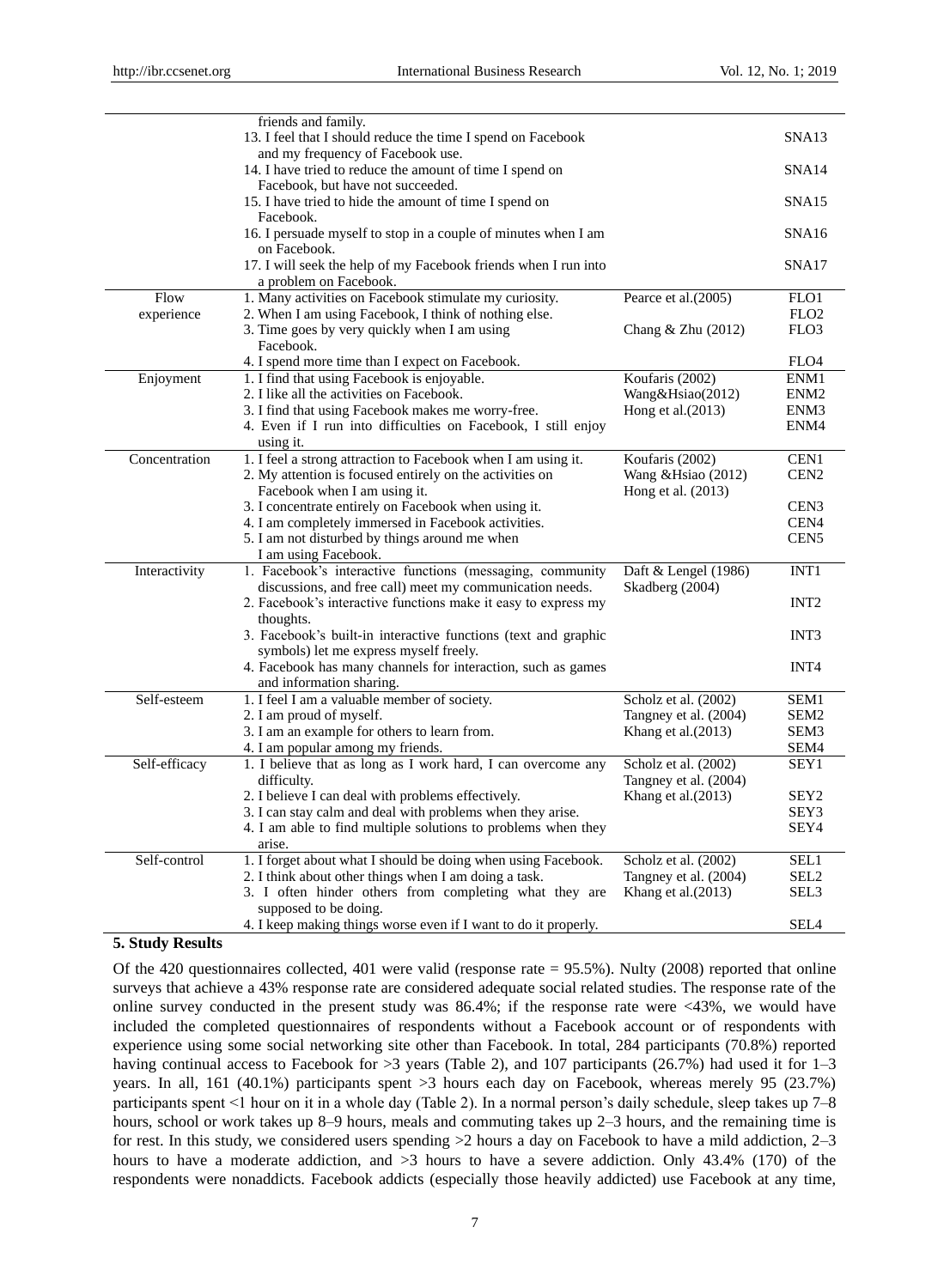|               | friends and family.                                                                               |                        |                  |
|---------------|---------------------------------------------------------------------------------------------------|------------------------|------------------|
|               | 13. I feel that I should reduce the time I spend on Facebook<br>and my frequency of Facebook use. |                        | SNA13            |
|               | 14. I have tried to reduce the amount of time I spend on                                          |                        | SNA14            |
|               | Facebook, but have not succeeded.                                                                 |                        |                  |
|               | 15. I have tried to hide the amount of time I spend on                                            |                        | SNA15            |
|               | Facebook.                                                                                         |                        |                  |
|               | 16. I persuade myself to stop in a couple of minutes when I am                                    |                        | SNA16            |
|               | on Facebook.                                                                                      |                        |                  |
|               | 17. I will seek the help of my Facebook friends when I run into                                   |                        | SNA17            |
|               | a problem on Facebook.                                                                            |                        |                  |
| Flow          | 1. Many activities on Facebook stimulate my curiosity.                                            | Pearce et al. (2005)   | FLO1             |
| experience    | 2. When I am using Facebook, I think of nothing else.                                             |                        | FLO <sub>2</sub> |
|               | 3. Time goes by very quickly when I am using                                                      | Chang $&$ Zhu $(2012)$ | FLO3             |
|               | Facebook.                                                                                         |                        |                  |
|               | 4. I spend more time than I expect on Facebook.                                                   |                        | FLO4             |
| Enjoyment     | 1. I find that using Facebook is enjoyable.                                                       | Koufaris (2002)        | ENM1             |
|               | 2. I like all the activities on Facebook.                                                         | Wang&Hsiao(2012)       | ENM <sub>2</sub> |
|               | 3. I find that using Facebook makes me worry-free.                                                | Hong et al. $(2013)$   | ENM <sub>3</sub> |
|               | 4. Even if I run into difficulties on Facebook, I still enjoy                                     |                        | ENM4             |
|               | using it.                                                                                         |                        |                  |
| Concentration | 1. I feel a strong attraction to Facebook when I am using it.                                     | Koufaris (2002)        | CEN <sub>1</sub> |
|               | 2. My attention is focused entirely on the activities on                                          | Wang & Hsiao $(2012)$  | CEN <sub>2</sub> |
|               | Facebook when I am using it.                                                                      | Hong et al. (2013)     |                  |
|               | 3. I concentrate entirely on Facebook when using it.                                              |                        | CEN <sub>3</sub> |
|               | 4. I am completely immersed in Facebook activities.                                               |                        | CEN <sub>4</sub> |
|               | 5. I am not disturbed by things around me when                                                    |                        | CEN <sub>5</sub> |
|               | I am using Facebook.                                                                              |                        |                  |
| Interactivity | 1. Facebook's interactive functions (messaging, community                                         | Daft & Lengel (1986)   | INT <sub>1</sub> |
|               | discussions, and free call) meet my communication needs.                                          | Skadberg (2004)        | INT <sub>2</sub> |
|               | 2. Facebook's interactive functions make it easy to express my                                    |                        |                  |
|               | thoughts.<br>3. Facebook's built-in interactive functions (text and graphic                       |                        | INT3             |
|               | symbols) let me express myself freely.                                                            |                        |                  |
|               | 4. Facebook has many channels for interaction, such as games                                      |                        | INT <sub>4</sub> |
|               | and information sharing.                                                                          |                        |                  |
| Self-esteem   | 1. I feel I am a valuable member of society.                                                      | Scholz et al. (2002)   | SEM1             |
|               | 2. I am proud of myself.                                                                          | Tangney et al. (2004)  | SEM2             |
|               | 3. I am an example for others to learn from.                                                      | Khang et al. $(2013)$  | SEM3             |
|               | 4. I am popular among my friends.                                                                 |                        | SEM4             |
| Self-efficacy | 1. I believe that as long as I work hard, I can overcome any                                      | Scholz et al. (2002)   | SEY1             |
|               | difficulty.                                                                                       | Tangney et al. (2004)  |                  |
|               | 2. I believe I can deal with problems effectively.                                                | Khang et al. (2013)    | SEY <sub>2</sub> |
|               | 3. I can stay calm and deal with problems when they arise.                                        |                        | SEY3             |
|               | 4. I am able to find multiple solutions to problems when they                                     |                        | SEY4             |
|               | arise.                                                                                            |                        |                  |
| Self-control  | 1. I forget about what I should be doing when using Facebook.                                     | Scholz et al. (2002)   | SEL1             |
|               | 2. I think about other things when I am doing a task.                                             | Tangney et al. (2004)  | SEL <sub>2</sub> |
|               | 3. I often hinder others from completing what they are                                            | Khang et al. $(2013)$  | SEL <sub>3</sub> |
|               | supposed to be doing.                                                                             |                        |                  |
|               | 4. I keep making things worse even if I want to do it properly.                                   |                        | SEL4             |

## **5. Study Results**

Of the 420 questionnaires collected, 401 were valid (response rate = 95.5%). Nulty (2008) reported that online surveys that achieve a 43% response rate are considered adequate social related studies. The response rate of the online survey conducted in the present study was 86.4%; if the response rate were <43%, we would have included the completed questionnaires of respondents without a Facebook account or of respondents with experience using some social networking site other than Facebook. In total, 284 participants (70.8%) reported having continual access to Facebook for  $>3$  years (Table 2), and 107 participants (26.7%) had used it for 1–3 years. In all, 161 (40.1%) participants spent >3 hours each day on Facebook, whereas merely 95 (23.7%) participants spent <1 hour on it in a whole day (Table 2). In a normal person's daily schedule, sleep takes up 7–8 hours, school or work takes up 8–9 hours, meals and commuting takes up 2–3 hours, and the remaining time is for rest. In this study, we considered users spending >2 hours a day on Facebook to have a mild addiction, 2–3 hours to have a moderate addiction, and  $>3$  hours to have a severe addiction. Only 43.4% (170) of the respondents were nonaddicts. Facebook addicts (especially those heavily addicted) use Facebook at any time,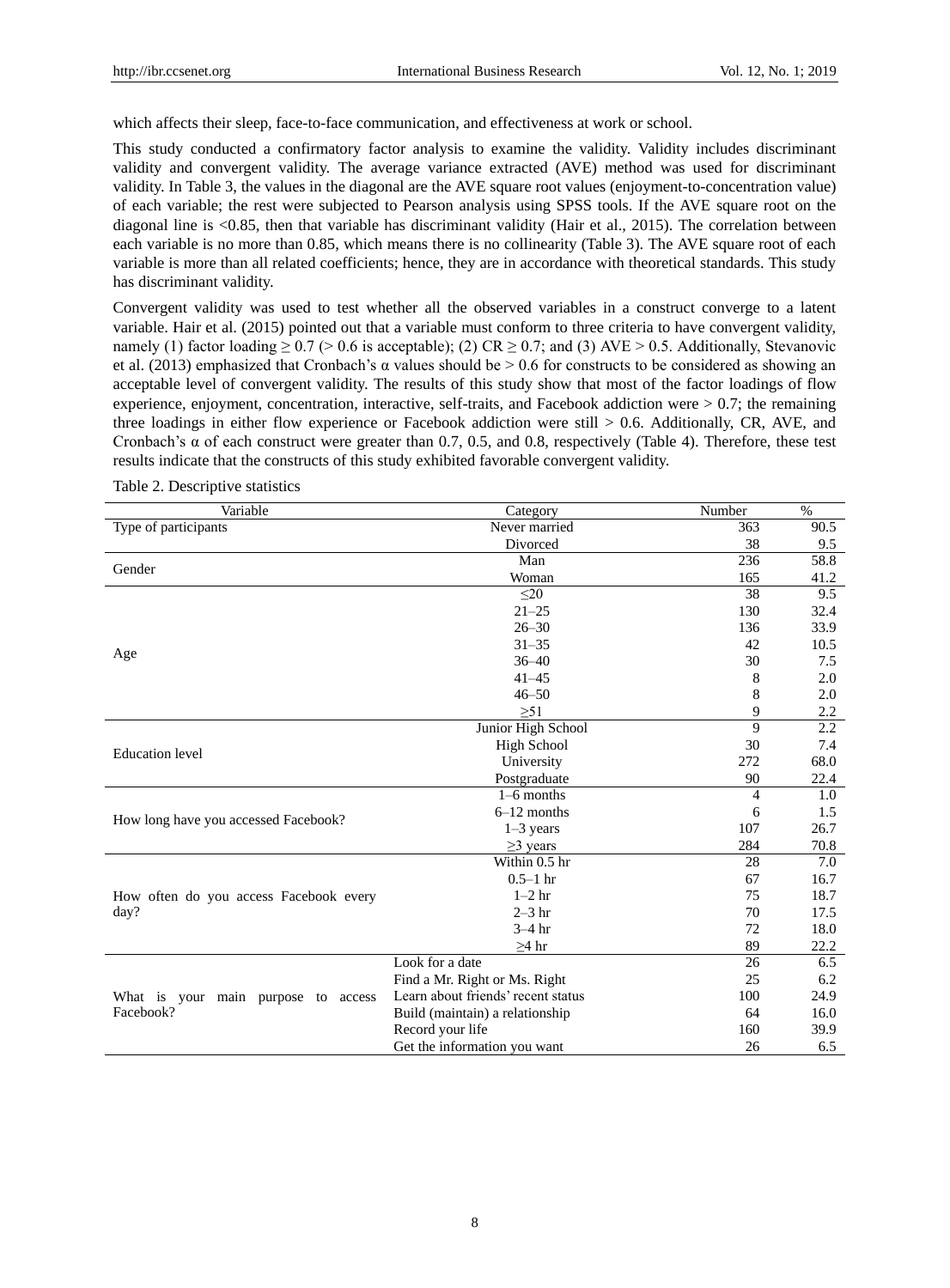which affects their sleep, face-to-face communication, and effectiveness at work or school.

This study conducted a confirmatory factor analysis to examine the validity. Validity includes discriminant validity and convergent validity. The average variance extracted (AVE) method was used for discriminant validity. In Table 3, the values in the diagonal are the AVE square root values (enjoyment-to-concentration value) of each variable; the rest were subjected to Pearson analysis using SPSS tools. If the AVE square root on the diagonal line is <0.85, then that variable has discriminant validity (Hair et al., 2015). The correlation between each variable is no more than 0.85, which means there is no collinearity (Table 3). The AVE square root of each variable is more than all related coefficients; hence, they are in accordance with theoretical standards. This study has discriminant validity.

Convergent validity was used to test whether all the observed variables in a construct converge to a latent variable. Hair et al. (2015) pointed out that a variable must conform to three criteria to have convergent validity, namely (1) factor loading  $\geq 0.7$  ( $> 0.6$  is acceptable); (2) CR  $\geq 0.7$ ; and (3) AVE  $> 0.5$ . Additionally, Stevanovic et al. (2013) emphasized that Cronbach's  $\alpha$  values should be  $> 0.6$  for constructs to be considered as showing an acceptable level of convergent validity. The results of this study show that most of the factor loadings of flow experience, enjoyment, concentration, interactive, self-traits, and Facebook addiction were  $> 0.7$ ; the remaining three loadings in either flow experience or Facebook addiction were still  $> 0.6$ . Additionally, CR, AVE, and Cronbach's  $\alpha$  of each construct were greater than 0.7, 0.5, and 0.8, respectively (Table 4). Therefore, these test results indicate that the constructs of this study exhibited favorable convergent validity.

| Variable                               | Category                           | Number | $\%$ |
|----------------------------------------|------------------------------------|--------|------|
| Type of participants                   | Never married                      | 363    | 90.5 |
|                                        | Divorced                           | 38     | 9.5  |
| Gender                                 | Man                                | 236    | 58.8 |
|                                        | Woman                              | 165    | 41.2 |
|                                        | $\leq$ 20                          | 38     | 9.5  |
|                                        | $21 - 25$                          | 130    | 32.4 |
|                                        | $26 - 30$                          | 136    | 33.9 |
|                                        | $31 - 35$                          | 42     | 10.5 |
| Age                                    | $36 - 40$                          | 30     | 7.5  |
|                                        | $41 - 45$                          | 8      | 2.0  |
|                                        | $46 - 50$                          | 8      | 2.0  |
|                                        | $\geq 51$                          | 9      | 2.2  |
|                                        | Junior High School                 | 9      | 2.2  |
| <b>Education</b> level                 | <b>High School</b>                 | 30     | 7.4  |
|                                        | University                         | 272    | 68.0 |
|                                        | Postgraduate                       | 90     | 22.4 |
|                                        | $1-6$ months                       | 4      | 1.0  |
|                                        | $6-12$ months                      | 6      | 1.5  |
| How long have you accessed Facebook?   | $1-3$ years                        | 107    | 26.7 |
|                                        | $\geq$ 3 years                     | 284    | 70.8 |
|                                        | Within 0.5 hr                      | 28     | 7.0  |
|                                        | $0.5 - 1$ hr                       | 67     | 16.7 |
| How often do you access Facebook every | $1-2$ hr                           | 75     | 18.7 |
| day?                                   | $2-3$ hr                           | 70     | 17.5 |
|                                        | $3-4$ hr                           | 72     | 18.0 |
|                                        | $\geq$ 4 hr                        | 89     | 22.2 |
|                                        | Look for a date                    | 26     | 6.5  |
|                                        | Find a Mr. Right or Ms. Right      | 25     | 6.2  |
| What is your main purpose to access    | Learn about friends' recent status | 100    | 24.9 |
| Facebook?                              | Build (maintain) a relationship    | 64     | 16.0 |
|                                        | Record your life                   | 160    | 39.9 |
|                                        | Get the information you want       | 26     | 6.5  |

Table 2. Descriptive statistics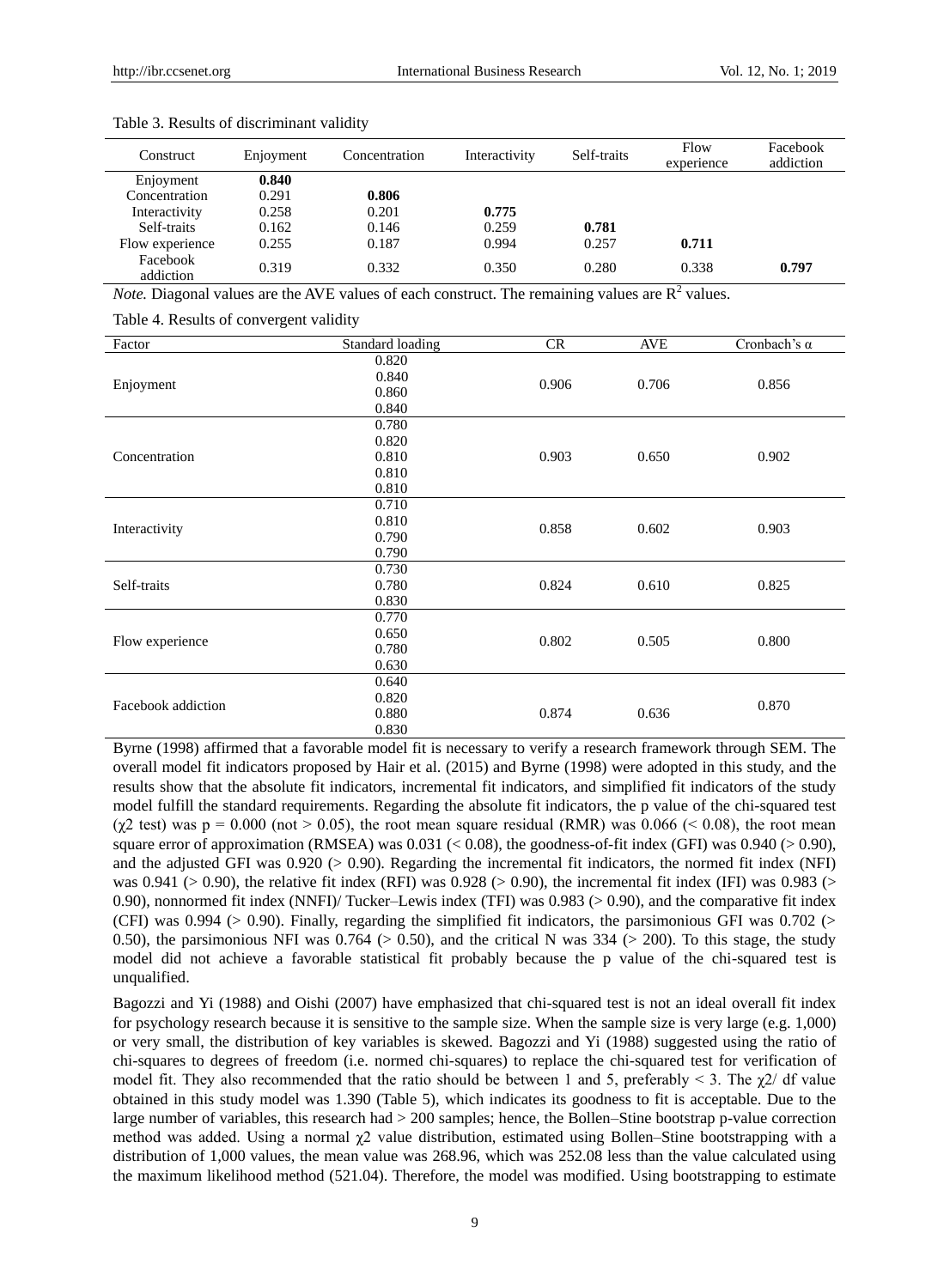| Construct             | Enjoyment | Concentration | Interactivity | Self-traits | Flow<br>experience | Facebook<br>addiction |
|-----------------------|-----------|---------------|---------------|-------------|--------------------|-----------------------|
| Enjoyment             | 0.840     |               |               |             |                    |                       |
| Concentration         | 0.291     | 0.806         |               |             |                    |                       |
| Interactivity         | 0.258     | 0.201         | 0.775         |             |                    |                       |
| Self-traits           | 0.162     | 0.146         | 0.259         | 0.781       |                    |                       |
| Flow experience       | 0.255     | 0.187         | 0.994         | 0.257       | 0.711              |                       |
| Facebook<br>addiction | 0.319     | 0.332         | 0.350         | 0.280       | 0.338              | 0.797                 |

Table 3. Results of discriminant validity

*Note.* Diagonal values are the AVE values of each construct. The remaining values are  $R^2$  values.

Table 4. Results of convergent validity

| Factor             | Standard loading | CR    | <b>AVE</b> | Cronbach's $\alpha$ |  |
|--------------------|------------------|-------|------------|---------------------|--|
|                    | 0.820            |       |            |                     |  |
|                    | 0.840            | 0.906 | 0.706      |                     |  |
| Enjoyment          | 0.860            |       |            | 0.856               |  |
|                    | 0.840            |       |            |                     |  |
|                    | 0.780            |       |            |                     |  |
|                    | 0.820            |       |            |                     |  |
| Concentration      | 0.810            | 0.903 | 0.650      | 0.902               |  |
|                    | 0.810            |       |            |                     |  |
|                    | 0.810            |       |            |                     |  |
|                    | 0.710            |       |            | 0.903               |  |
|                    | 0.810            | 0.858 | 0.602      |                     |  |
| Interactivity      | 0.790            |       |            |                     |  |
|                    | 0.790            |       |            |                     |  |
|                    | 0.730            | 0.824 | 0.610      | 0.825               |  |
| Self-traits        | 0.780            |       |            |                     |  |
|                    | 0.830            |       |            |                     |  |
|                    | 0.770            |       |            |                     |  |
|                    | 0.650            | 0.802 | 0.505      | 0.800               |  |
| Flow experience    | 0.780            |       |            |                     |  |
|                    | 0.630            |       |            |                     |  |
| Facebook addiction | 0.640            |       |            |                     |  |
|                    | 0.820            |       | 0.636      | 0.870               |  |
|                    | 0.880            | 0.874 |            |                     |  |
|                    | 0.830            |       |            |                     |  |

Byrne (1998) affirmed that a favorable model fit is necessary to verify a research framework through SEM. The overall model fit indicators proposed by Hair et al. (2015) and Byrne (1998) were adopted in this study, and the results show that the absolute fit indicators, incremental fit indicators, and simplified fit indicators of the study model fulfill the standard requirements. Regarding the absolute fit indicators, the p value of the chi-squared test ( $\chi$ 2 test) was p = 0.000 (not > 0.05), the root mean square residual (RMR) was 0.066 (< 0.08), the root mean square error of approximation (RMSEA) was  $0.031$  ( $< 0.08$ ), the goodness-of-fit index (GFI) was  $0.940$  ( $> 0.90$ ), and the adjusted GFI was 0.920 (> 0.90). Regarding the incremental fit indicators, the normed fit index (NFI) was 0.941 ( $> 0.90$ ), the relative fit index (RFI) was 0.928 ( $> 0.90$ ), the incremental fit index (IFI) was 0.983 ( $>$ 0.90), nonnormed fit index (NNFI)/ Tucker–Lewis index (TFI) was 0.983 (> 0.90), and the comparative fit index (CFI) was 0.994 (> 0.90). Finally, regarding the simplified fit indicators, the parsimonious GFI was 0.702 (> 0.50), the parsimonious NFI was  $0.764$  ( $> 0.50$ ), and the critical N was 334 ( $> 200$ ). To this stage, the study model did not achieve a favorable statistical fit probably because the p value of the chi-squared test is unqualified.

Bagozzi and Yi (1988) and Oishi (2007) have emphasized that chi-squared test is not an ideal overall fit index for psychology research because it is sensitive to the sample size. When the sample size is very large (e.g. 1,000) or very small, the distribution of key variables is skewed. Bagozzi and Yi (1988) suggested using the ratio of chi-squares to degrees of freedom (i.e. normed chi-squares) to replace the chi-squared test for verification of model fit. They also recommended that the ratio should be between 1 and 5, preferably  $\leq$  3. The  $\chi$ 2/ df value obtained in this study model was 1.390 (Table 5), which indicates its goodness to fit is acceptable. Due to the large number of variables, this research had > 200 samples; hence, the Bollen–Stine bootstrap p-value correction method was added. Using a normal χ2 value distribution, estimated using Bollen–Stine bootstrapping with a distribution of 1,000 values, the mean value was 268.96, which was 252.08 less than the value calculated using the maximum likelihood method (521.04). Therefore, the model was modified. Using bootstrapping to estimate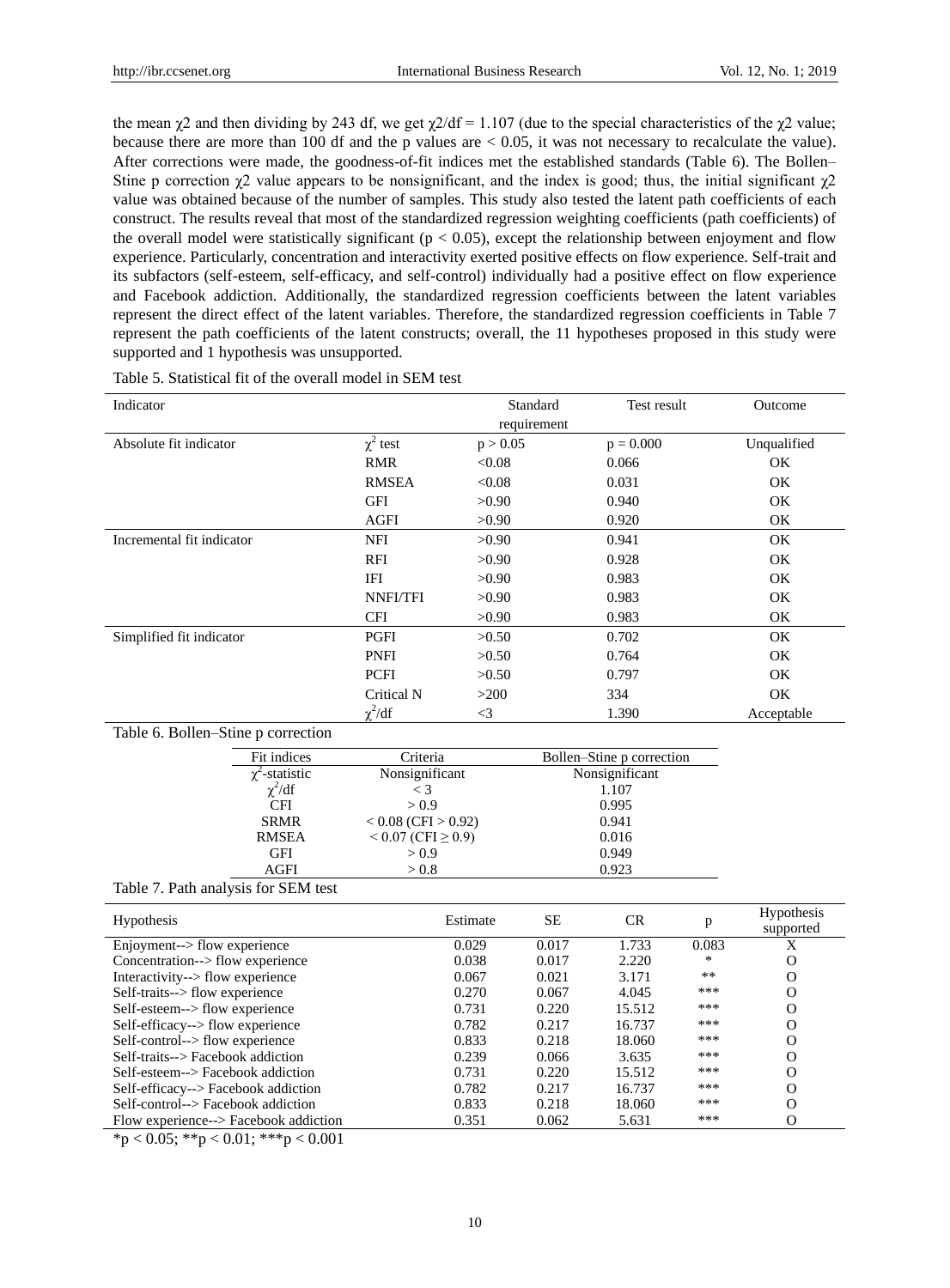the mean  $\gamma$ 2 and then dividing by 243 df, we get  $\gamma$ 2/df = 1.107 (due to the special characteristics of the  $\gamma$ 2 value; because there are more than 100 df and the p values are  $\lt$  0.05, it was not necessary to recalculate the value). After corrections were made, the goodness-of-fit indices met the established standards (Table 6). The Bollen– Stine p correction  $\chi^2$  value appears to be nonsignificant, and the index is good; thus, the initial significant  $\chi^2$ value was obtained because of the number of samples. This study also tested the latent path coefficients of each construct. The results reveal that most of the standardized regression weighting coefficients (path coefficients) of the overall model were statistically significant ( $p < 0.05$ ), except the relationship between enjoyment and flow experience. Particularly, concentration and interactivity exerted positive effects on flow experience. Self-trait and its subfactors (self-esteem, self-efficacy, and self-control) individually had a positive effect on flow experience and Facebook addiction. Additionally, the standardized regression coefficients between the latent variables represent the direct effect of the latent variables. Therefore, the standardized regression coefficients in Table 7 represent the path coefficients of the latent constructs; overall, the 11 hypotheses proposed in this study were supported and 1 hypothesis was unsupported.

| Indicator                           |                     |                            |          | Standard    | Test result               |     | Outcome                 |
|-------------------------------------|---------------------|----------------------------|----------|-------------|---------------------------|-----|-------------------------|
|                                     |                     |                            |          | requirement |                           |     |                         |
| Absolute fit indicator              |                     | $\chi^2$ test              | p > 0.05 |             | $p = 0.000$               |     | Unqualified             |
|                                     |                     | <b>RMR</b>                 | < 0.08   |             | 0.066                     |     | <b>OK</b>               |
|                                     |                     | <b>RMSEA</b>               | < 0.08   |             | 0.031                     |     | <b>OK</b>               |
|                                     |                     | <b>GFI</b>                 | >0.90    |             | 0.940                     |     | <b>OK</b>               |
|                                     |                     | <b>AGFI</b>                | >0.90    |             | 0.920                     |     | <b>OK</b>               |
| Incremental fit indicator           |                     | <b>NFI</b>                 | >0.90    |             | 0.941                     |     | OK                      |
|                                     |                     | <b>RFI</b>                 | >0.90    |             | 0.928                     |     | OK                      |
|                                     |                     | <b>IFI</b>                 | >0.90    |             | 0.983                     |     | OK                      |
|                                     |                     | NNFI/TFI                   | >0.90    |             | 0.983                     |     | OK                      |
|                                     |                     | <b>CFI</b>                 | >0.90    |             | 0.983                     |     | OK                      |
| Simplified fit indicator            |                     | PGFI                       | >0.50    |             | 0.702                     |     | OK                      |
|                                     |                     | <b>PNFI</b>                | >0.50    |             | 0.764                     |     | OK                      |
|                                     |                     | <b>PCFI</b>                | >0.50    |             | 0.797                     |     | OK                      |
|                                     |                     | Critical N                 | >200     |             | 334                       |     | OK                      |
|                                     |                     | $\chi^2/df$                | $\leq$ 3 |             | 1.390                     |     | Acceptable              |
| Table 6. Bollen-Stine p correction  |                     |                            |          |             |                           |     |                         |
|                                     | Fit indices         | Criteria                   |          |             | Bollen-Stine p correction |     |                         |
|                                     | $\chi^2$ -statistic | Nonsignificant             |          |             | Nonsignificant            |     |                         |
|                                     | $\chi^2/df$         | $\lt$ 3                    |          | 1.107       |                           |     |                         |
|                                     | <b>CFI</b>          | > 0.9                      |          |             | 0.995                     |     |                         |
|                                     | <b>SRMR</b>         | $< 0.08$ (CFI $> 0.92$ )   |          | 0.941       |                           |     |                         |
|                                     | <b>RMSEA</b>        | $< 0.07$ (CFI $\geq 0.9$ ) |          | 0.016       |                           |     |                         |
|                                     | <b>GFI</b>          | > 0.9                      |          | 0.949       |                           |     |                         |
|                                     | <b>AGFI</b>         | > 0.8                      | 0.923    |             |                           |     |                         |
| Table 7. Path analysis for SEM test |                     |                            |          |             |                           |     |                         |
| Hypothesis                          |                     |                            | Estimate | $\rm SE$    | CR                        | p   | Hypothesis<br>supported |
| Enjoyment--> flow experience        |                     | 0.029                      | 0.017    | 1.733       | 0.083                     | X   |                         |
| Concentration--> flow experience    |                     |                            | 0.038    | 0.017       | 2.220                     | *   | $\mathbf{O}$            |
| Interactivity--> flow experience    |                     |                            | 0.067    | 0.021       | 3.171                     | **  | $\mathbf{O}$            |
| Self-traits--> flow experience      |                     |                            | 0.270    | 0.067       | 4.045                     | *** | $\mathbf{O}$            |
| Self-esteem--> flow experience      |                     |                            | 0.731    | 0.220       | 15.512                    | *** | $\mathbf{O}$            |
| Self-efficacy--> flow experience    |                     |                            | 0.782    | 0.217       | 16.737                    | *** | $\Omega$                |

Table 5. Statistical fit of the overall model in SEM test

Flow experience--> Facebook addiction 0.351 0.062 5.631 \*\*\* O  $*p < 0.05$ ;  $* p < 0.01$ ;  $* * p < 0.001$ 

Self-control--> Facebook addiction

10

Self-control--> flow experience 0.833 0.218 18.060 \*\*\* O<br>
Self-traits--> Facebook addiction 0.239 0.066 3.635 \*\*\* O Self-traits--> Facebook addiction 0.239 0.066 3.635 \*\*\* O<br>Self-esteem--> Facebook addiction 0.731 0.220 15.512 \*\*\* O

Self-efficacy--> Facebook addiction 0.782 0.217 16.737 \*\*\* O<br>
Self-control--> Facebook addiction 0.833 0.218 18.060 \*\*\* O

 $\text{Self-seteem--}$  Facebook addiction 0.731 0.220 15.512  $^{***}$ <br>  $\text{Self-efficacy\_}$  Eacebook addiction 0.782 0.217 16.737 \*\*\*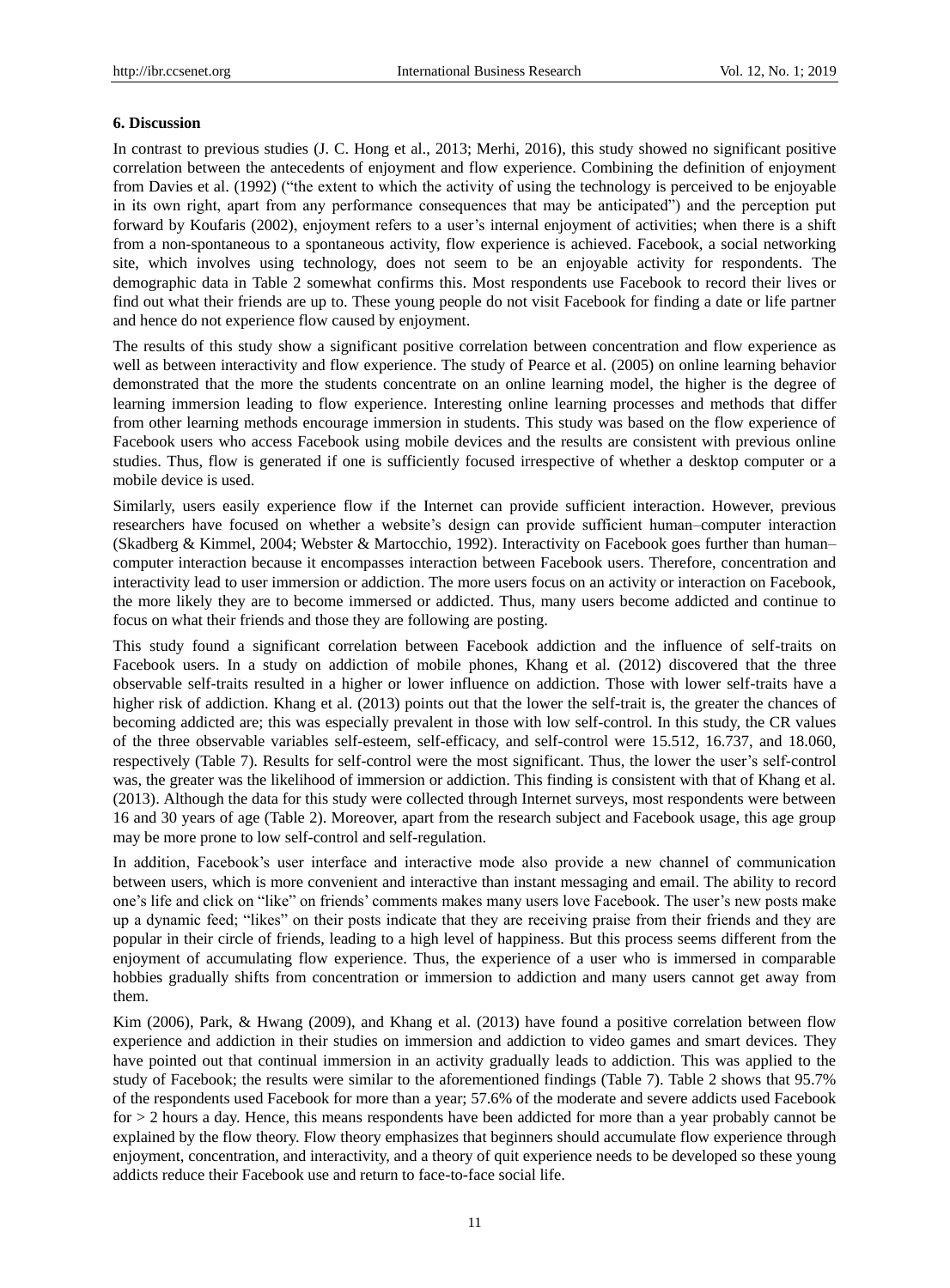#### **6. Discussion**

In contrast to previous studies (J. C. Hong et al., 2013; Merhi, 2016), this study showed no significant positive correlation between the antecedents of enjoyment and flow experience. Combining the definition of enjoyment from Davies et al. (1992) ("the extent to which the activity of using the technology is perceived to be enjoyable in its own right, apart from any performance consequences that may be anticipated") and the perception put forward by Koufaris (2002), enjoyment refers to a user's internal enjoyment of activities; when there is a shift from a non-spontaneous to a spontaneous activity, flow experience is achieved. Facebook, a social networking site, which involves using technology, does not seem to be an enjoyable activity for respondents. The demographic data in Table 2 somewhat confirms this. Most respondents use Facebook to record their lives or find out what their friends are up to. These young people do not visit Facebook for finding a date or life partner and hence do not experience flow caused by enjoyment.

The results of this study show a significant positive correlation between concentration and flow experience as well as between interactivity and flow experience. The study of Pearce et al. (2005) on online learning behavior demonstrated that the more the students concentrate on an online learning model, the higher is the degree of learning immersion leading to flow experience. Interesting online learning processes and methods that differ from other learning methods encourage immersion in students. This study was based on the flow experience of Facebook users who access Facebook using mobile devices and the results are consistent with previous online studies. Thus, flow is generated if one is sufficiently focused irrespective of whether a desktop computer or a mobile device is used.

Similarly, users easily experience flow if the Internet can provide sufficient interaction. However, previous researchers have focused on whether a website's design can provide sufficient human–computer interaction (Skadberg & Kimmel, 2004; Webster & Martocchio, 1992). Interactivity on Facebook goes further than human– computer interaction because it encompasses interaction between Facebook users. Therefore, concentration and interactivity lead to user immersion or addiction. The more users focus on an activity or interaction on Facebook, the more likely they are to become immersed or addicted. Thus, many users become addicted and continue to focus on what their friends and those they are following are posting.

This study found a significant correlation between Facebook addiction and the influence of self-traits on Facebook users. In a study on addiction of mobile phones, Khang et al. (2012) discovered that the three observable self-traits resulted in a higher or lower influence on addiction. Those with lower self-traits have a higher risk of addiction. Khang et al. (2013) points out that the lower the self-trait is, the greater the chances of becoming addicted are; this was especially prevalent in those with low self-control. In this study, the CR values of the three observable variables self-esteem, self-efficacy, and self-control were 15.512, 16.737, and 18.060, respectively (Table 7). Results for self-control were the most significant. Thus, the lower the user's self-control was, the greater was the likelihood of immersion or addiction. This finding is consistent with that of Khang et al. (2013). Although the data for this study were collected through Internet surveys, most respondents were between 16 and 30 years of age (Table 2). Moreover, apart from the research subject and Facebook usage, this age group may be more prone to low self-control and self-regulation.

In addition, Facebook's user interface and interactive mode also provide a new channel of communication between users, which is more convenient and interactive than instant messaging and email. The ability to record one's life and click on "like" on friends' comments makes many users love Facebook. The user's new posts make up a dynamic feed; "likes" on their posts indicate that they are receiving praise from their friends and they are popular in their circle of friends, leading to a high level of happiness. But this process seems different from the enjoyment of accumulating flow experience. Thus, the experience of a user who is immersed in comparable hobbies gradually shifts from concentration or immersion to addiction and many users cannot get away from them.

Kim (2006), Park, & Hwang (2009), and Khang et al. (2013) have found a positive correlation between flow experience and addiction in their studies on immersion and addiction to video games and smart devices. They have pointed out that continual immersion in an activity gradually leads to addiction. This was applied to the study of Facebook; the results were similar to the aforementioned findings (Table 7). Table 2 shows that 95.7% of the respondents used Facebook for more than a year; 57.6% of the moderate and severe addicts used Facebook for > 2 hours a day. Hence, this means respondents have been addicted for more than a year probably cannot be explained by the flow theory. Flow theory emphasizes that beginners should accumulate flow experience through enjoyment, concentration, and interactivity, and a theory of quit experience needs to be developed so these young addicts reduce their Facebook use and return to face-to-face social life.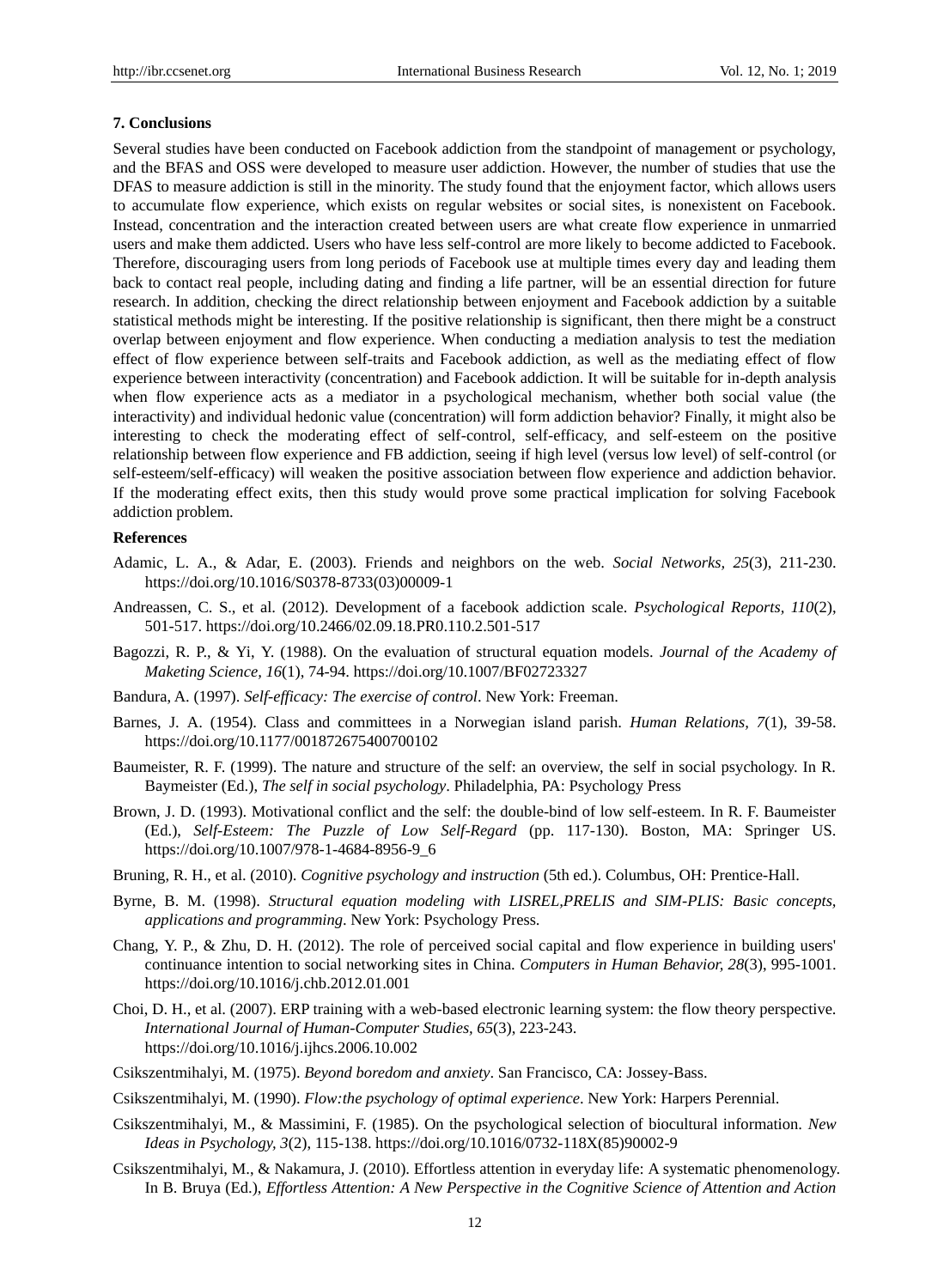#### **7. Conclusions**

Several studies have been conducted on Facebook addiction from the standpoint of management or psychology, and the BFAS and OSS were developed to measure user addiction. However, the number of studies that use the DFAS to measure addiction is still in the minority. The study found that the enjoyment factor, which allows users to accumulate flow experience, which exists on regular websites or social sites, is nonexistent on Facebook. Instead, concentration and the interaction created between users are what create flow experience in unmarried users and make them addicted. Users who have less self-control are more likely to become addicted to Facebook. Therefore, discouraging users from long periods of Facebook use at multiple times every day and leading them back to contact real people, including dating and finding a life partner, will be an essential direction for future research. In addition, checking the direct relationship between enjoyment and Facebook addiction by a suitable statistical methods might be interesting. If the positive relationship is significant, then there might be a construct overlap between enjoyment and flow experience. When conducting a mediation analysis to test the mediation effect of flow experience between self-traits and Facebook addiction, as well as the mediating effect of flow experience between interactivity (concentration) and Facebook addiction. It will be suitable for in-depth analysis when flow experience acts as a mediator in a psychological mechanism, whether both social value (the interactivity) and individual hedonic value (concentration) will form addiction behavior? Finally, it might also be interesting to check the moderating effect of self-control, self-efficacy, and self-esteem on the positive relationship between flow experience and FB addiction, seeing if high level (versus low level) of self-control (or self-esteem/self-efficacy) will weaken the positive association between flow experience and addiction behavior. If the moderating effect exits, then this study would prove some practical implication for solving Facebook addiction problem.

## **References**

- Adamic, L. A., & Adar, E. (2003). Friends and neighbors on the web. *Social Networks, 25*(3), 211-230. https://doi.org/10.1016/S0378-8733(03)00009-1
- Andreassen, C. S., et al. (2012). Development of a facebook addiction scale. *Psychological Reports, 110*(2), 501-517. https://doi.org/10.2466/02.09.18.PR0.110.2.501-517
- Bagozzi, R. P., & Yi, Y. (1988). On the evaluation of structural equation models. *Journal of the Academy of Maketing Science, 16*(1), 74-94. https://doi.org/10.1007/BF02723327
- Bandura, A. (1997). *Self-efficacy: The exercise of control*. New York: Freeman.
- Barnes, J. A. (1954). Class and committees in a Norwegian island parish. *Human Relations, 7*(1), 39-58. https://doi.org/10.1177/001872675400700102
- Baumeister, R. F. (1999). The nature and structure of the self: an overview, the self in social psychology. In R. Baymeister (Ed.), *The self in social psychology*. Philadelphia, PA: Psychology Press
- Brown, J. D. (1993). Motivational conflict and the self: the double-bind of low self-esteem. In R. F. Baumeister (Ed.), *Self-Esteem: The Puzzle of Low Self-Regard* (pp. 117-130). Boston, MA: Springer US. https://doi.org/10.1007/978-1-4684-8956-9\_6
- Bruning, R. H., et al. (2010). *Cognitive psychology and instruction* (5th ed.). Columbus, OH: Prentice-Hall.
- Byrne, B. M. (1998). *Structural equation modeling with LISREL,PRELIS and SIM-PLIS: Basic concepts, applications and programming*. New York: Psychology Press.
- Chang, Y. P., & Zhu, D. H. (2012). The role of perceived social capital and flow experience in building users' continuance intention to social networking sites in China. *Computers in Human Behavior, 28*(3), 995-1001. https://doi.org/10.1016/j.chb.2012.01.001
- Choi, D. H., et al. (2007). ERP training with a web-based electronic learning system: the flow theory perspective. *International Journal of Human-Computer Studies, 65*(3), 223-243. https://doi.org/10.1016/j.ijhcs.2006.10.002
- Csikszentmihalyi, M. (1975). *Beyond boredom and anxiety*. San Francisco, CA: Jossey-Bass.
- Csikszentmihalyi, M. (1990). *Flow:the psychology of optimal experience*. New York: Harpers Perennial.
- Csikszentmihalyi, M., & Massimini, F. (1985). On the psychological selection of biocultural information. *New Ideas in Psychology, 3*(2), 115-138. https://doi.org/10.1016/0732-118X(85)90002-9
- Csikszentmihalyi, M., & Nakamura, J. (2010). Effortless attention in everyday life: A systematic phenomenology. In B. Bruya (Ed.), *Effortless Attention: A New Perspective in the Cognitive Science of Attention and Action*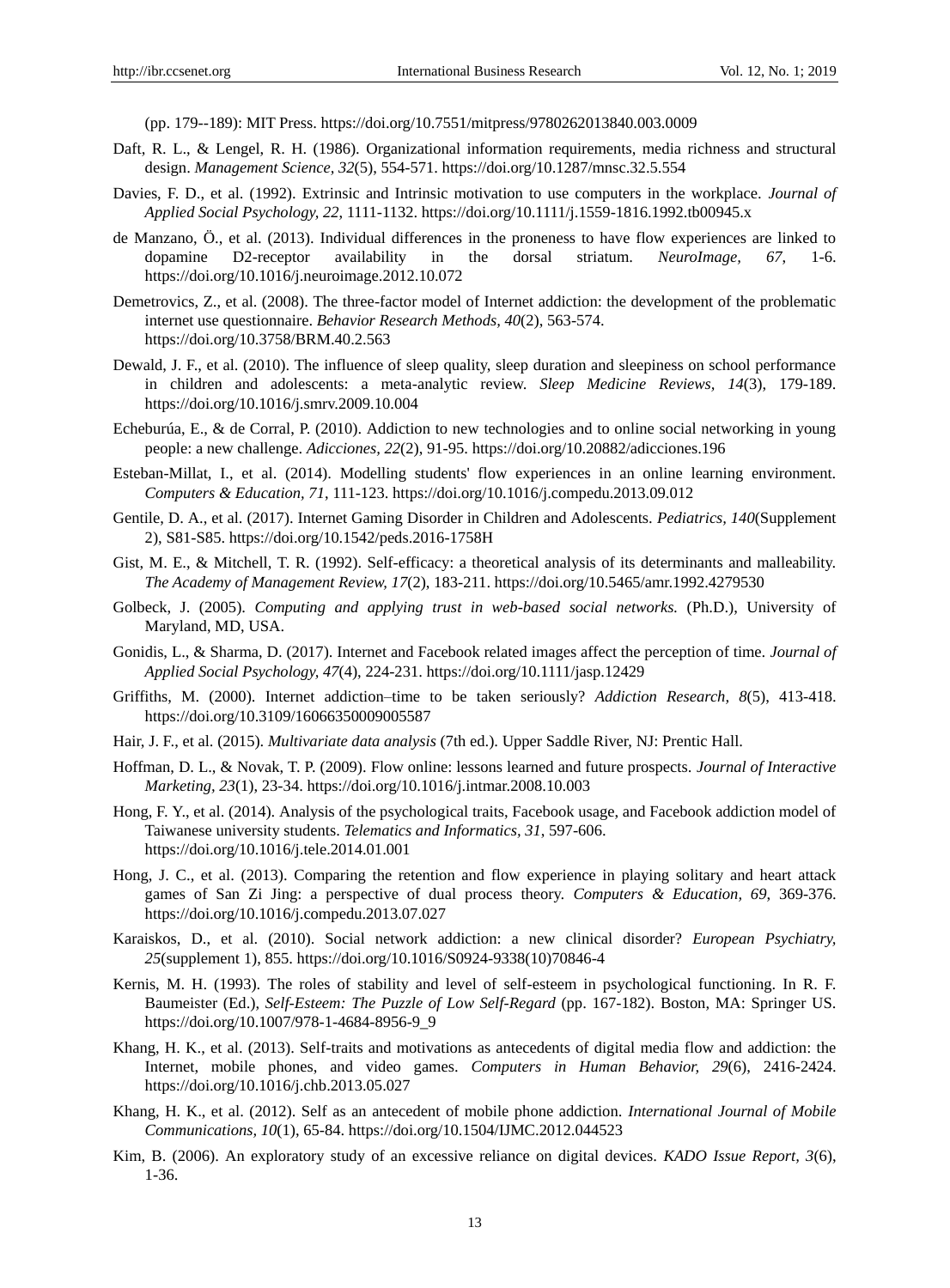(pp. 179--189): MIT Press. https://doi.org/10.7551/mitpress/9780262013840.003.0009

- Daft, R. L., & Lengel, R. H. (1986). Organizational information requirements, media richness and structural design. *Management Science, 32*(5), 554-571. https://doi.org/10.1287/mnsc.32.5.554
- Davies, F. D., et al. (1992). Extrinsic and Intrinsic motivation to use computers in the workplace. *Journal of Applied Social Psychology, 22*, 1111-1132. https://doi.org/10.1111/j.1559-1816.1992.tb00945.x
- de Manzano, Ö., et al. (2013). Individual differences in the proneness to have flow experiences are linked to dopamine D2-receptor availability in the dorsal striatum. *NeuroImage, 67*, 1-6. https://doi.org/10.1016/j.neuroimage.2012.10.072
- Demetrovics, Z., et al. (2008). The three-factor model of Internet addiction: the development of the problematic internet use questionnaire. *Behavior Research Methods, 40*(2), 563-574. https://doi.org/10.3758/BRM.40.2.563
- Dewald, J. F., et al. (2010). The influence of sleep quality, sleep duration and sleepiness on school performance in children and adolescents: a meta-analytic review. *Sleep Medicine Reviews, 14*(3), 179-189. https://doi.org/10.1016/j.smrv.2009.10.004
- Echeburúa, E., & de Corral, P. (2010). Addiction to new technologies and to online social networking in young people: a new challenge. *Adicciones, 22*(2), 91-95. https://doi.org/10.20882/adicciones.196
- Esteban-Millat, I., et al. (2014). Modelling students' flow experiences in an online learning environment. *Computers & Education, 71*, 111-123. https://doi.org/10.1016/j.compedu.2013.09.012
- Gentile, D. A., et al. (2017). Internet Gaming Disorder in Children and Adolescents. *Pediatrics, 140*(Supplement 2), S81-S85. https://doi.org/10.1542/peds.2016-1758H
- Gist, M. E., & Mitchell, T. R. (1992). Self-efficacy: a theoretical analysis of its determinants and malleability. *The Academy of Management Review, 17*(2), 183-211. https://doi.org/10.5465/amr.1992.4279530
- Golbeck, J. (2005). *Computing and applying trust in web-based social networks.* (Ph.D.), University of Maryland, MD, USA.
- Gonidis, L., & Sharma, D. (2017). Internet and Facebook related images affect the perception of time. *Journal of Applied Social Psychology, 47*(4), 224-231. https://doi.org/10.1111/jasp.12429
- Griffiths, M. (2000). Internet addiction–time to be taken seriously? *Addiction Research, 8*(5), 413-418. https://doi.org/10.3109/16066350009005587
- Hair, J. F., et al. (2015). *Multivariate data analysis* (7th ed.). Upper Saddle River, NJ: Prentic Hall.
- Hoffman, D. L., & Novak, T. P. (2009). Flow online: lessons learned and future prospects. *Journal of Interactive Marketing, 23*(1), 23-34. https://doi.org/10.1016/j.intmar.2008.10.003
- Hong, F. Y., et al. (2014). Analysis of the psychological traits, Facebook usage, and Facebook addiction model of Taiwanese university students. *Telematics and Informatics, 31*, 597-606. https://doi.org/10.1016/j.tele.2014.01.001
- Hong, J. C., et al. (2013). Comparing the retention and flow experience in playing solitary and heart attack games of San Zi Jing: a perspective of dual process theory. *Computers & Education, 69*, 369-376. https://doi.org/10.1016/j.compedu.2013.07.027
- Karaiskos, D., et al. (2010). Social network addiction: a new clinical disorder? *European Psychiatry, 25*(supplement 1), 855. https://doi.org/10.1016/S0924-9338(10)70846-4
- Kernis, M. H. (1993). The roles of stability and level of self-esteem in psychological functioning. In R. F. Baumeister (Ed.), *Self-Esteem: The Puzzle of Low Self-Regard* (pp. 167-182). Boston, MA: Springer US. https://doi.org/10.1007/978-1-4684-8956-9\_9
- Khang, H. K., et al. (2013). Self-traits and motivations as antecedents of digital media flow and addiction: the Internet, mobile phones, and video games. *Computers in Human Behavior, 29*(6), 2416-2424. https://doi.org/10.1016/j.chb.2013.05.027
- Khang, H. K., et al. (2012). Self as an antecedent of mobile phone addiction. *International Journal of Mobile Communications, 10*(1), 65-84. https://doi.org/10.1504/IJMC.2012.044523
- Kim, B. (2006). An exploratory study of an excessive reliance on digital devices. *KADO Issue Report, 3*(6), 1-36.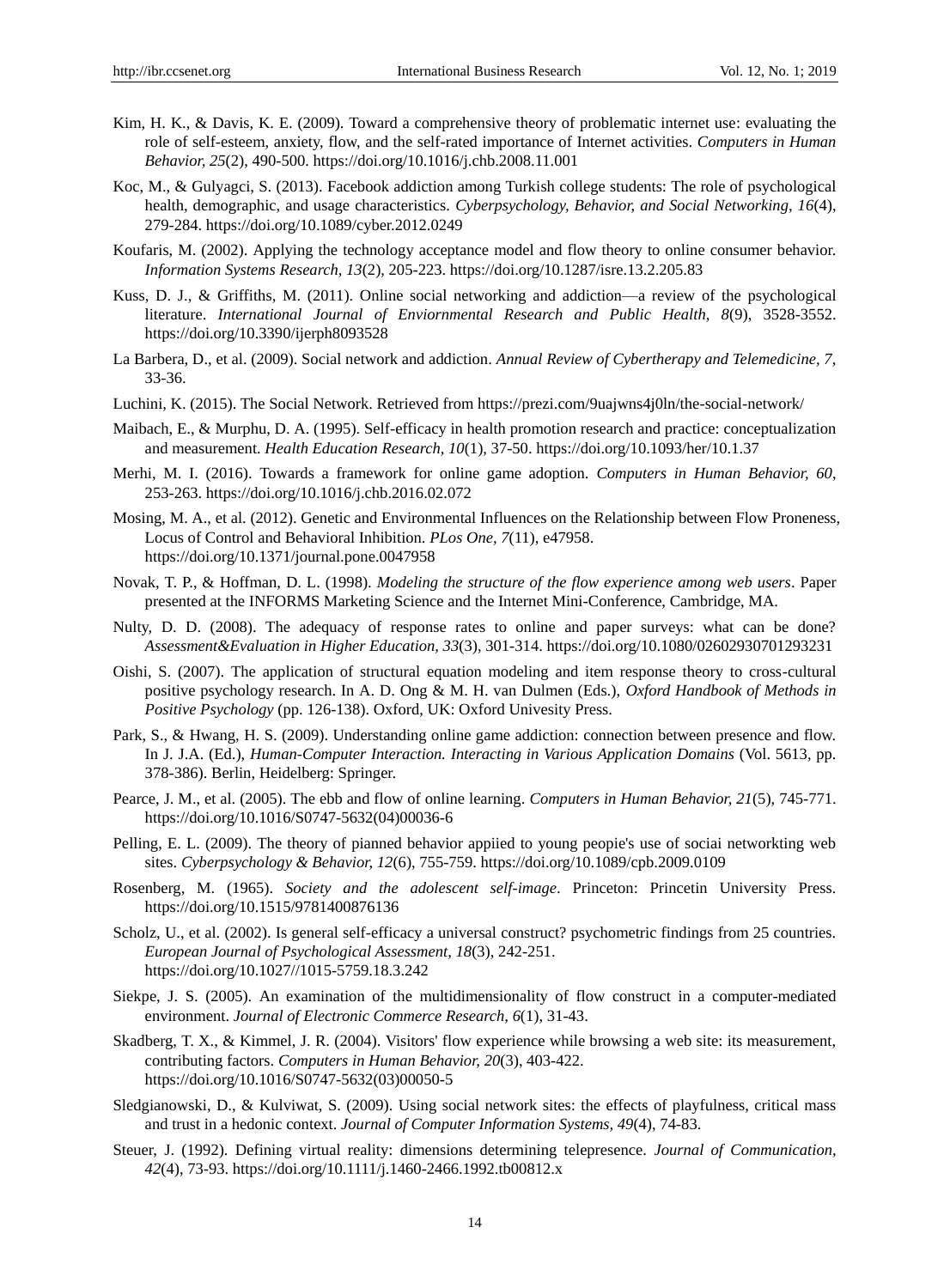- Kim, H. K., & Davis, K. E. (2009). Toward a comprehensive theory of problematic internet use: evaluating the role of self-esteem, anxiety, flow, and the self-rated importance of Internet activities. *Computers in Human Behavior, 25*(2), 490-500. https://doi.org/10.1016/j.chb.2008.11.001
- Koc, M., & Gulyagci, S. (2013). Facebook addiction among Turkish college students: The role of psychological health, demographic, and usage characteristics. *Cyberpsychology, Behavior, and Social Networking, 16*(4), 279-284. https://doi.org/10.1089/cyber.2012.0249
- Koufaris, M. (2002). Applying the technology acceptance model and flow theory to online consumer behavior. *Information Systems Research, 13*(2), 205-223. https://doi.org/10.1287/isre.13.2.205.83
- Kuss, D. J., & Griffiths, M. (2011). Online social networking and addiction—a review of the psychological literature. *International Journal of Enviornmental Research and Public Health, 8*(9), 3528-3552. https://doi.org/10.3390/ijerph8093528
- La Barbera, D., et al. (2009). Social network and addiction. *Annual Review of Cybertherapy and Telemedicine, 7*, 33-36.
- Luchini, K. (2015). The Social Network. Retrieved from https://prezi.com/9uajwns4j0ln/the-social-network/
- Maibach, E., & Murphu, D. A. (1995). Self-efficacy in health promotion research and practice: conceptualization and measurement. *Health Education Research, 10*(1), 37-50. https://doi.org/10.1093/her/10.1.37
- Merhi, M. I. (2016). Towards a framework for online game adoption. *Computers in Human Behavior, 60*, 253-263. https://doi.org/10.1016/j.chb.2016.02.072
- Mosing, M. A., et al. (2012). Genetic and Environmental Influences on the Relationship between Flow Proneness, Locus of Control and Behavioral Inhibition. *PLos One, 7*(11), e47958. https://doi.org/10.1371/journal.pone.0047958
- Novak, T. P., & Hoffman, D. L. (1998). *Modeling the structure of the flow experience among web users*. Paper presented at the INFORMS Marketing Science and the Internet Mini-Conference, Cambridge, MA.
- Nulty, D. D. (2008). The adequacy of response rates to online and paper surveys: what can be done? *Assessment&Evaluation in Higher Education, 33*(3), 301-314. https://doi.org/10.1080/02602930701293231
- Oishi, S. (2007). The application of structural equation modeling and item response theory to cross-cultural positive psychology research. In A. D. Ong & M. H. van Dulmen (Eds.), *Oxford Handbook of Methods in Positive Psychology* (pp. 126-138). Oxford, UK: Oxford Univesity Press.
- Park, S., & Hwang, H. S. (2009). Understanding online game addiction: connection between presence and flow. In J. J.A. (Ed.), *Human-Computer Interaction. Interacting in Various Application Domains* (Vol. 5613, pp. 378-386). Berlin, Heidelberg: Springer.
- Pearce, J. M., et al. (2005). The ebb and flow of online learning. *Computers in Human Behavior, 21*(5), 745-771. https://doi.org/10.1016/S0747-5632(04)00036-6
- Pelling, E. L. (2009). The theory of pianned behavior appiied to young peopie's use of sociai networkting web sites. *Cyberpsychology & Behavior, 12*(6), 755-759. https://doi.org/10.1089/cpb.2009.0109
- Rosenberg, M. (1965). *Society and the adolescent self-image*. Princeton: Princetin University Press. https://doi.org/10.1515/9781400876136
- Scholz, U., et al. (2002). Is general self-efficacy a universal construct? psychometric findings from 25 countries. *European Journal of Psychological Assessment, 18*(3), 242-251. https://doi.org/10.1027//1015-5759.18.3.242
- Siekpe, J. S. (2005). An examination of the multidimensionality of flow construct in a computer-mediated environment. *Journal of Electronic Commerce Research, 6*(1), 31-43.
- Skadberg, T. X., & Kimmel, J. R. (2004). Visitors' flow experience while browsing a web site: its measurement, contributing factors. *Computers in Human Behavior, 20*(3), 403-422. https://doi.org/10.1016/S0747-5632(03)00050-5
- Sledgianowski, D., & Kulviwat, S. (2009). Using social network sites: the effects of playfulness, critical mass and trust in a hedonic context. *Journal of Computer Information Systems, 49*(4), 74-83.
- Steuer, J. (1992). Defining virtual reality: dimensions determining telepresence. *Journal of Communication, 42*(4), 73-93. https://doi.org/10.1111/j.1460-2466.1992.tb00812.x